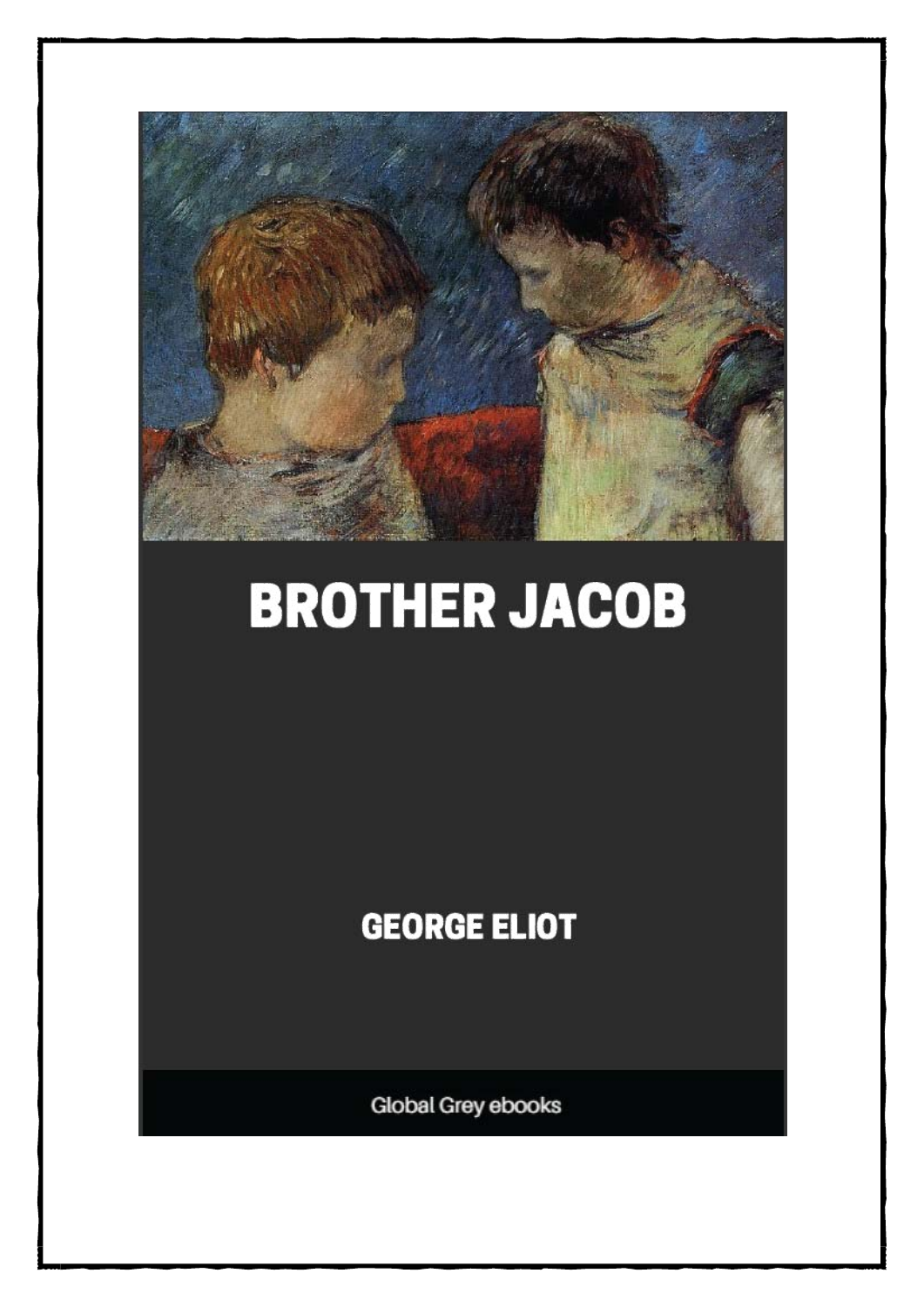

# **BROTHER JACOB**

**GEORGE ELIOT** 

**Global Grey ebooks**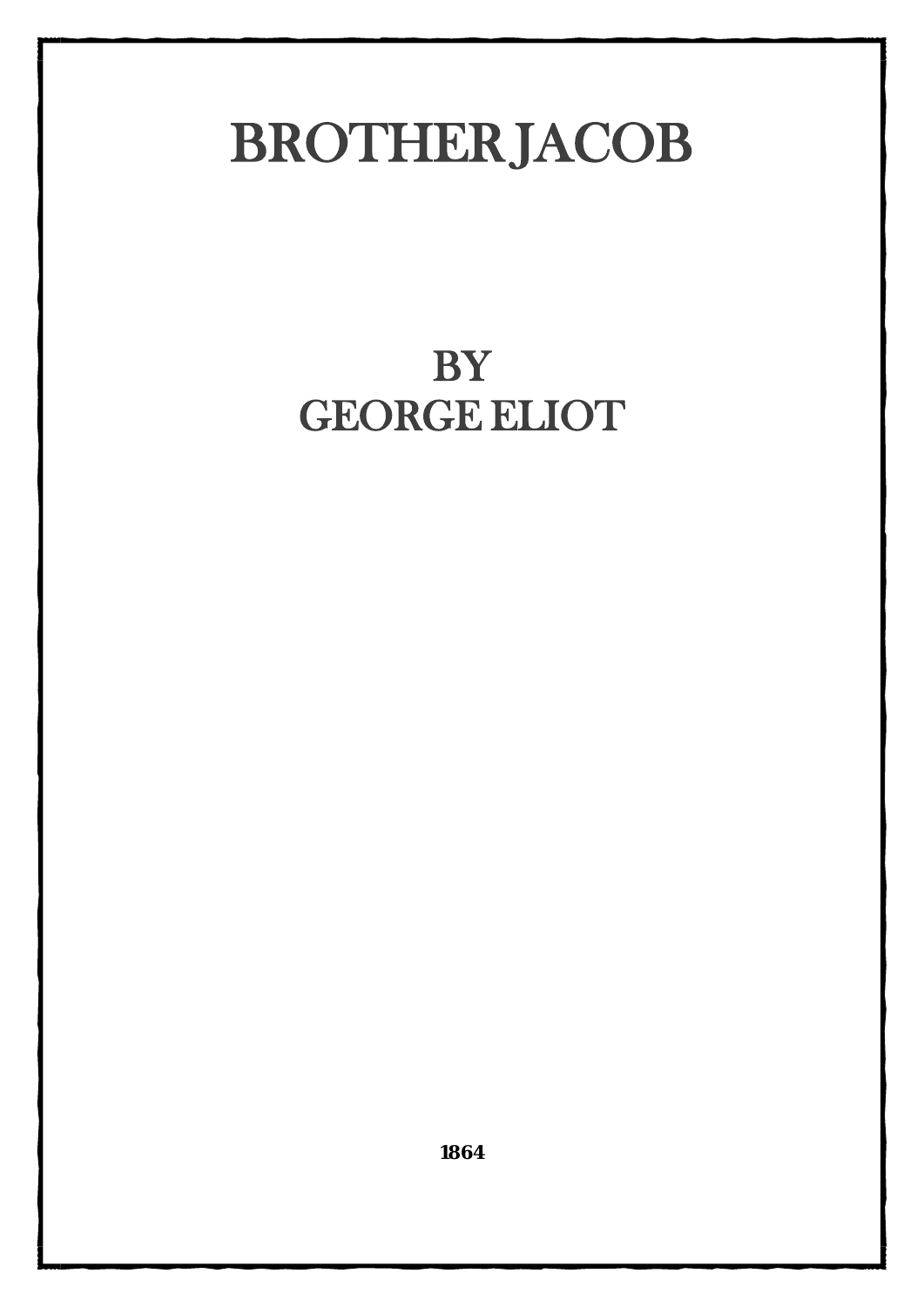## **BROTHERJACOB**

## BY **GEORGE ELIOT**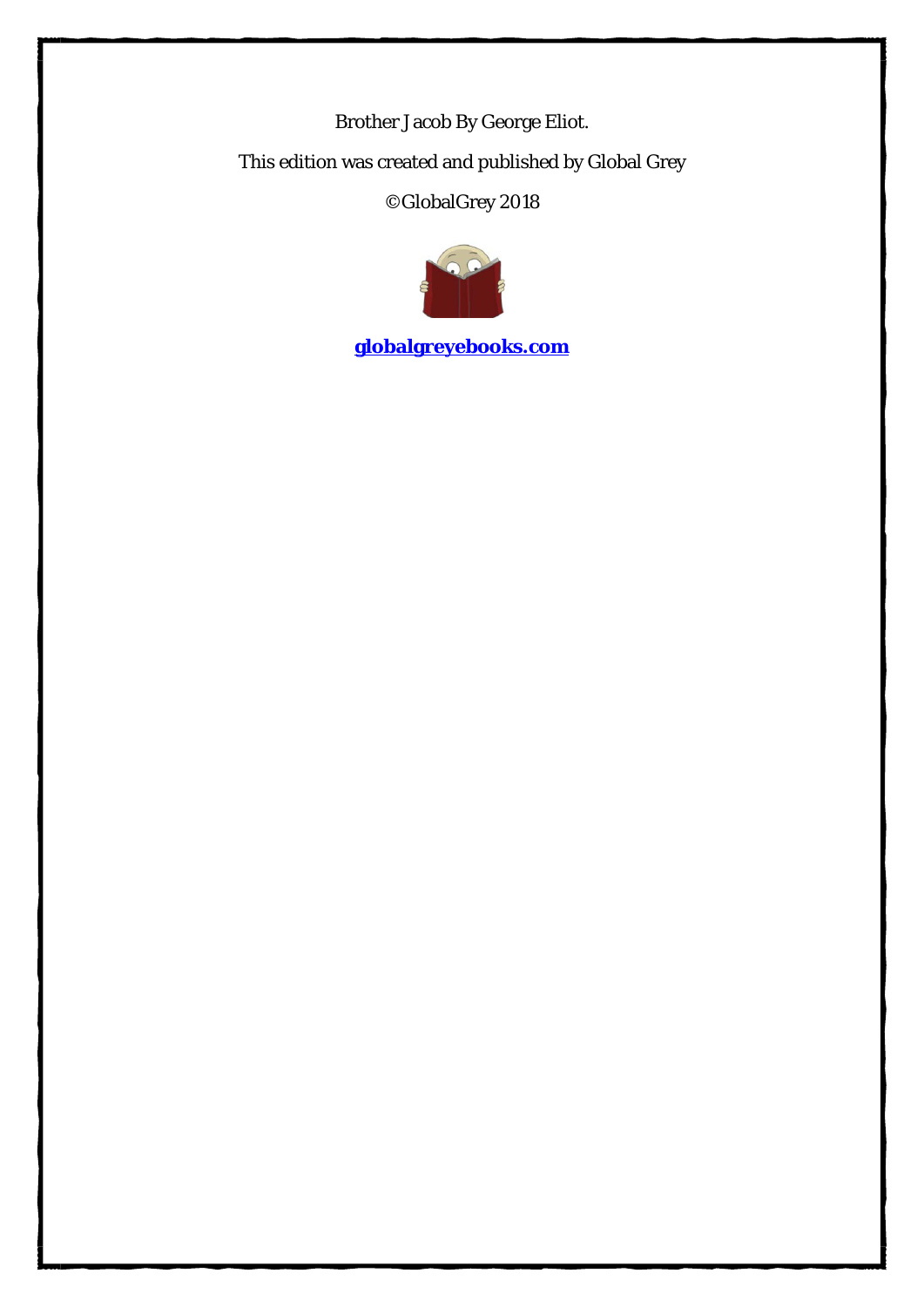Brother Jacob By George Eliot. This edition was created and published by Global Grey ©GlobalGrey 2018



**[globalgreyebooks.com](https://www.globalgreyebooks.com/)**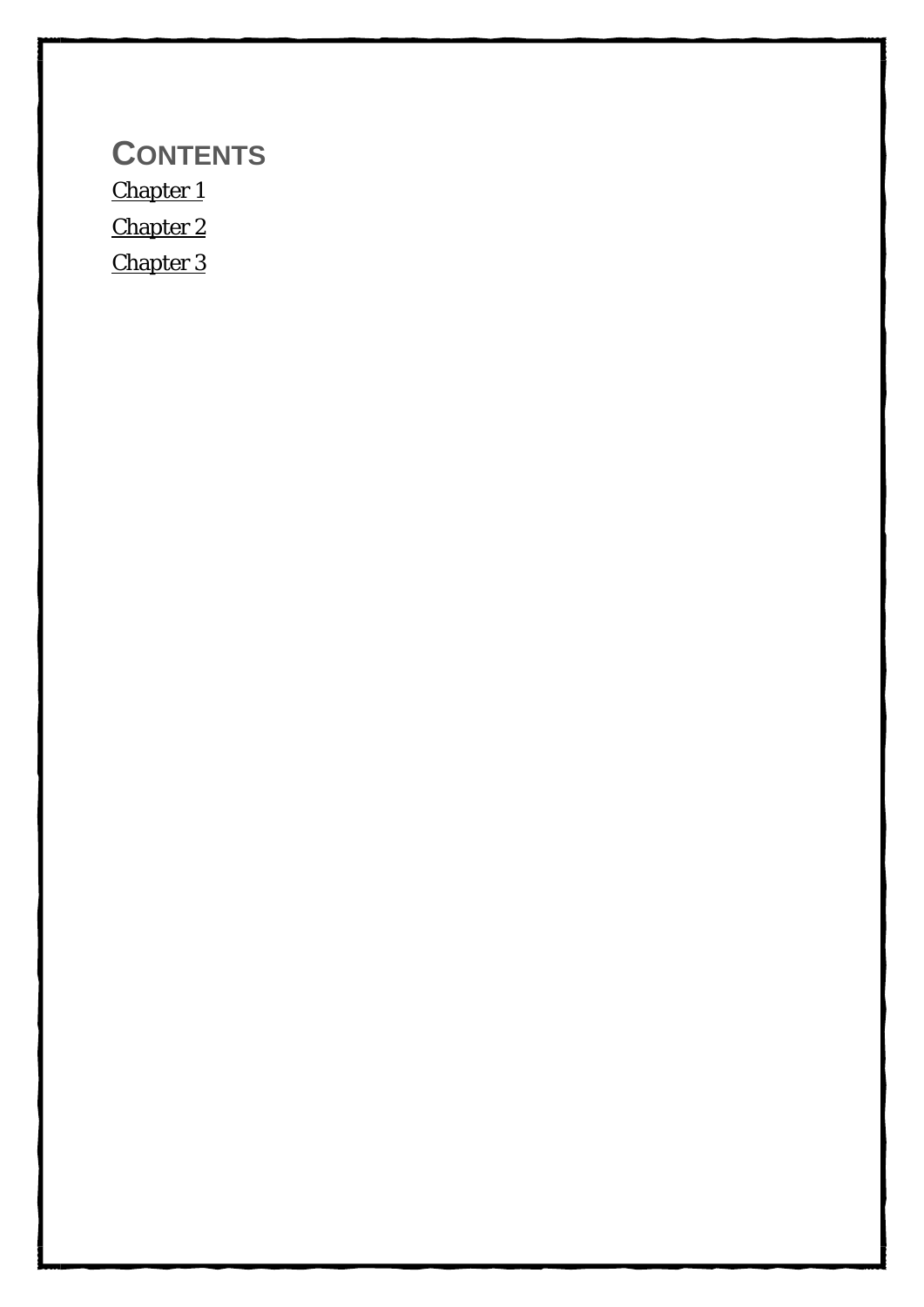**CONTENTS** [Chapter 1](#page-4-0) [Chapter 2](#page-17-0) [Chapter 3](#page-32-0)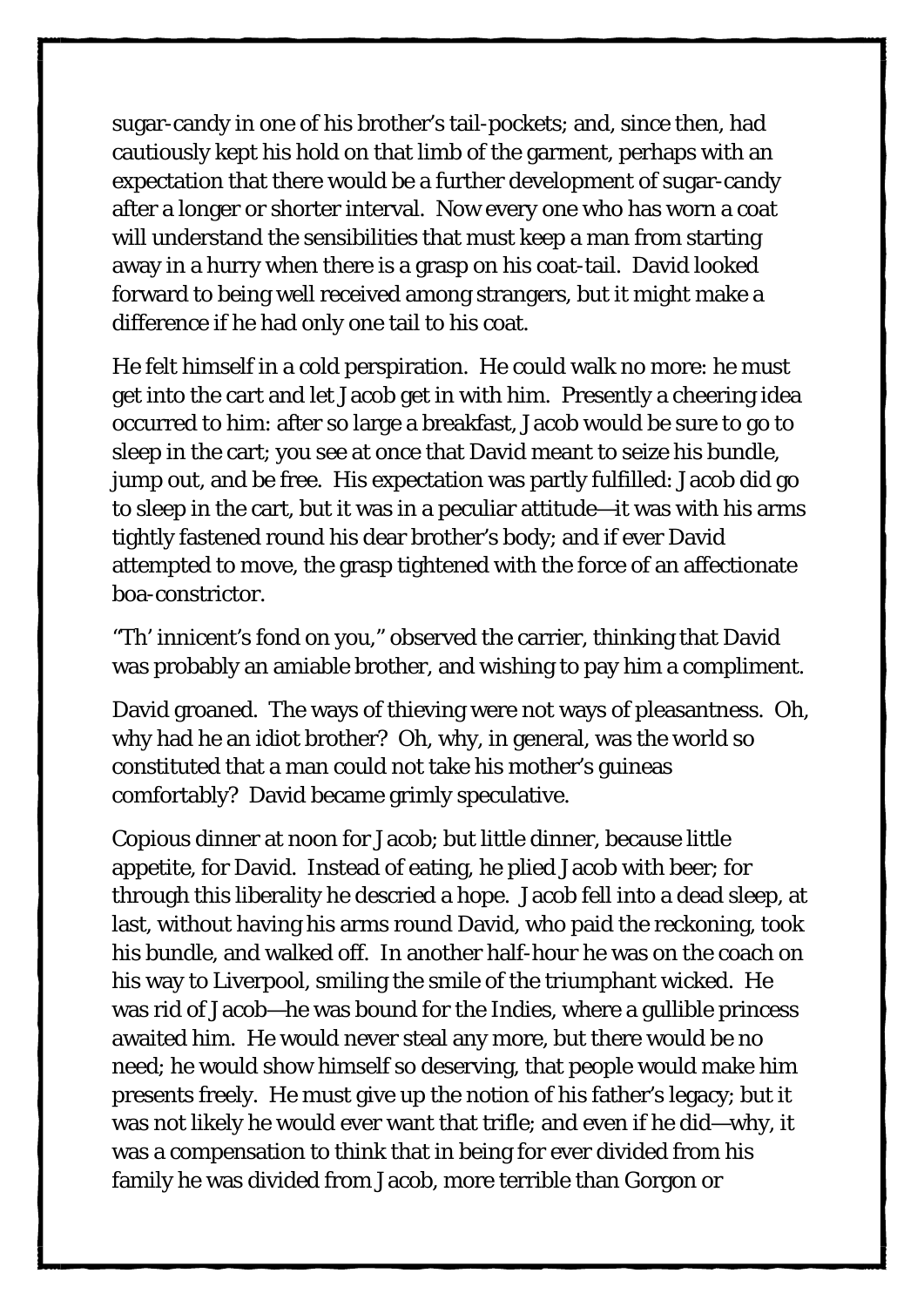sugar-candy in one of his brother's tail-pockets; and, since then, had cautiously kept his hold on that limb of the garment, perhaps with an expectation that there would be a further development of sugar-candy after a longer or shorter interval. Now every one who has worn a coat will understand the sensibilities that must keep a man from starting away in a hurry when there is a grasp on his coat-tail. David looked forward to being well received among strangers, but it might make a difference if he had only one tail to his coat.

He felt himself in a cold perspiration. He could walk no more: he must get into the cart and let Jacob get in with him. Presently a cheering idea occurred to him: after so large a breakfast, Jacob would be sure to go to sleep in the cart; you see at once that David meant to seize his bundle, jump out, and be free. His expectation was partly fulfilled: Jacob did go to sleep in the cart, but it was in a peculiar attitude—it was with his arms tightly fastened round his dear brother's body; and if ever David attempted to move, the grasp tightened with the force of an affectionate boa-constrictor.

"Th' innicent's fond on you," observed the carrier, thinking that David was probably an amiable brother, and wishing to pay him a compliment.

David groaned. The ways of thieving were not ways of pleasantness. Oh, why had he an idiot brother? Oh, why, in general, was the world so constituted that a man could not take his mother's guineas comfortably? David became grimly speculative.

Copious dinner at noon for Jacob; but little dinner, because little appetite, for David. Instead of eating, he plied Jacob with beer; for through this liberality he descried a hope. Jacob fell into a dead sleep, at last, without having his arms round David, who paid the reckoning, took his bundle, and walked off. In another half-hour he was on the coach on his way to Liverpool, smiling the smile of the triumphant wicked. He was rid of Jacob—he was bound for the Indies, where a gullible princess awaited him. He would never steal any more, but there would be no need; he would show himself so deserving, that people would make him presents freely. He must give up the notion of his father's legacy; but it was not likely he would ever want that trifle; and even if he did—why, it was a compensation to think that in being for ever divided from his family he was divided from Jacob, more terrible than Gorgon or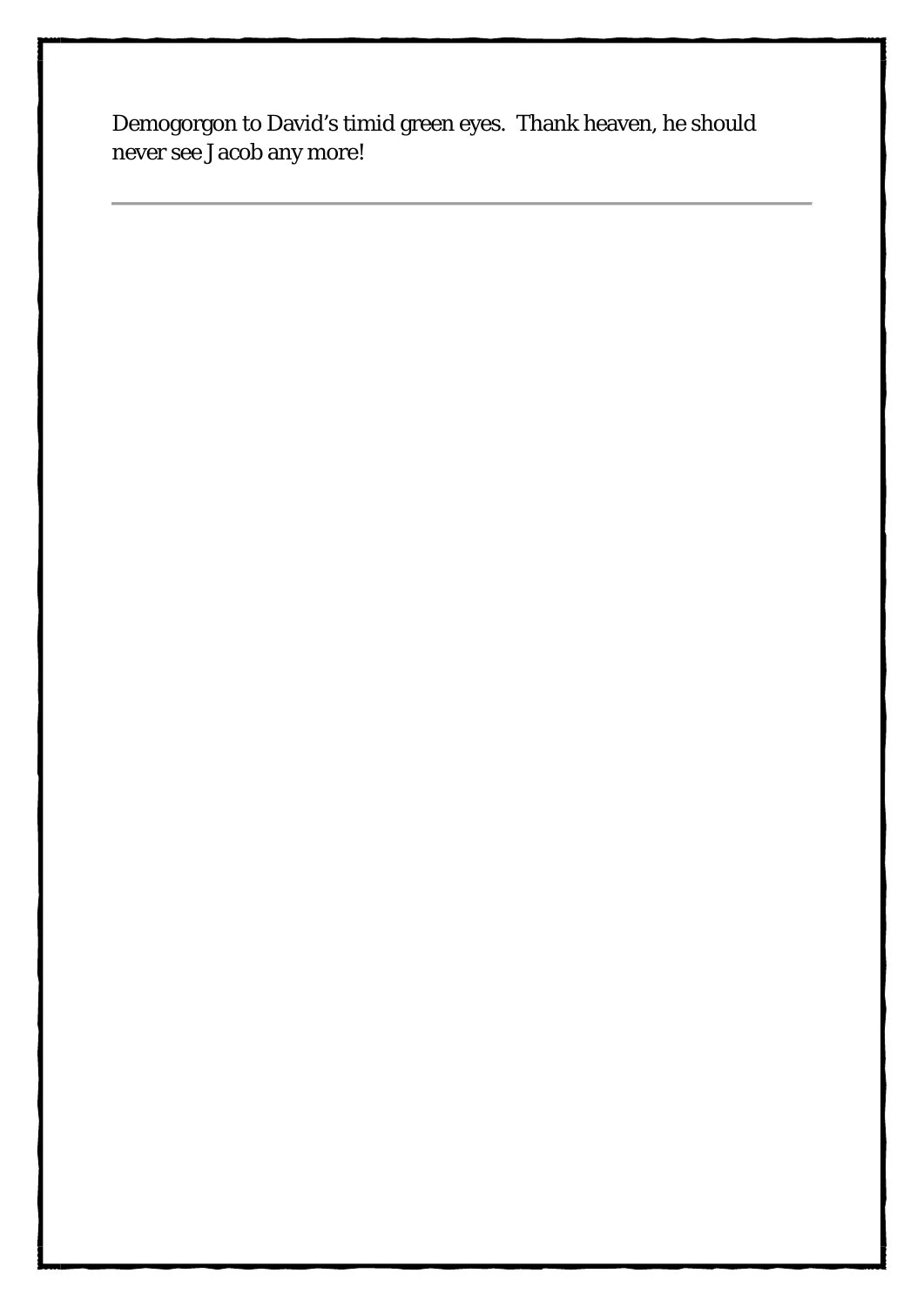Demogorgon to David's timid green eyes. Thank heaven, he should never see Jacob any more!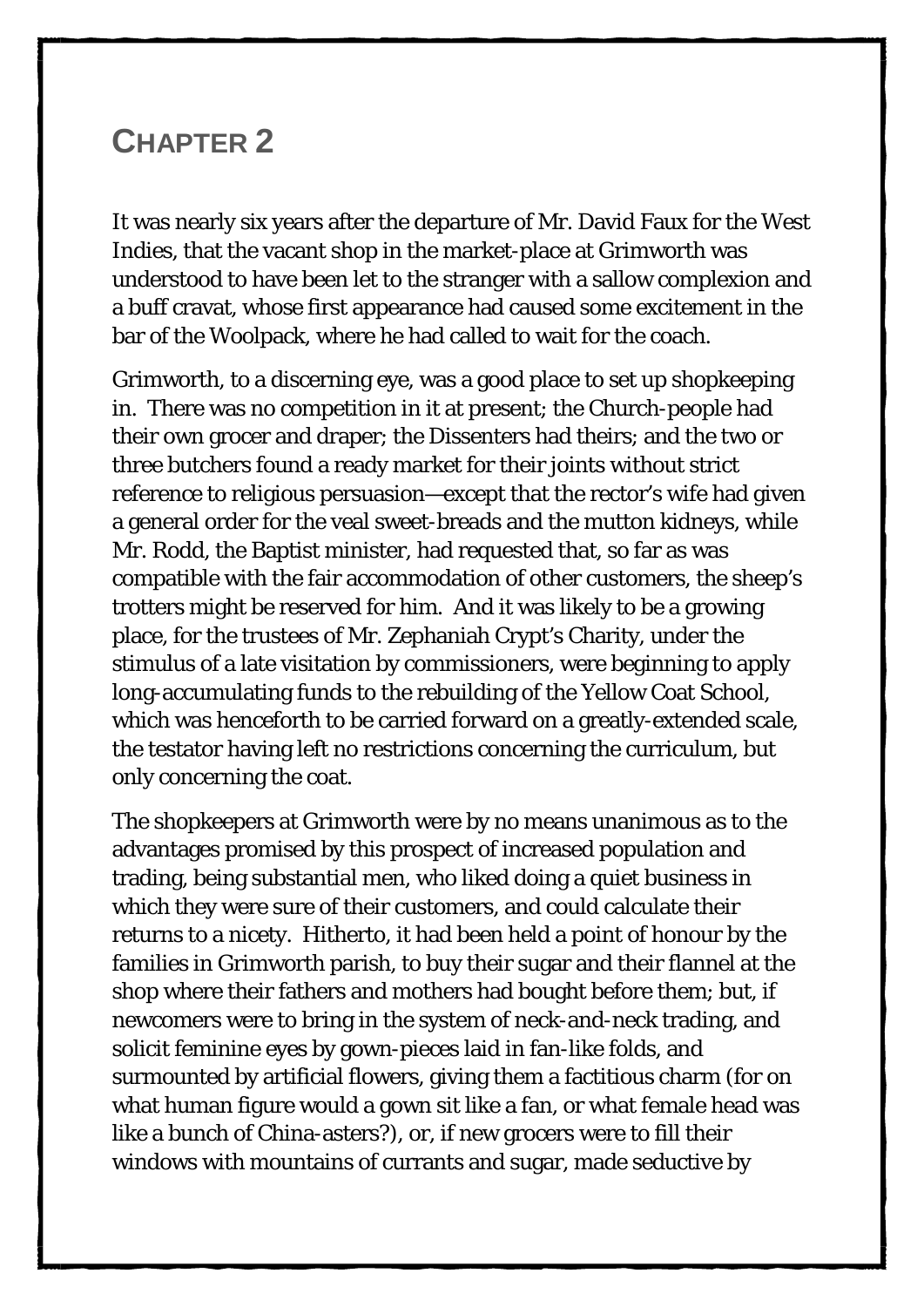### <span id="page-17-0"></span>**CHAPTER 2**

It was nearly six years after the departure of Mr. David Faux for the West Indies, that the vacant shop in the market-place at Grimworth was understood to have been let to the stranger with a sallow complexion and a buff cravat, whose first appearance had caused some excitement in the bar of the Woolpack, where he had called to wait for the coach.

Grimworth, to a discerning eye, was a good place to set up shopkeeping in. There was no competition in it at present; the Church-people had their own grocer and draper; the Dissenters had theirs; and the two or three butchers found a ready market for their joints without strict reference to religious persuasion—except that the rector's wife had given a general order for the veal sweet-breads and the mutton kidneys, while Mr. Rodd, the Baptist minister, had requested that, so far as was compatible with the fair accommodation of other customers, the sheep's trotters might be reserved for him. And it was likely to be a growing place, for the trustees of Mr. Zephaniah Crypt's Charity, under the stimulus of a late visitation by commissioners, were beginning to apply long-accumulating funds to the rebuilding of the Yellow Coat School, which was henceforth to be carried forward on a greatly-extended scale, the testator having left no restrictions concerning the curriculum, but only concerning the coat.

The shopkeepers at Grimworth were by no means unanimous as to the advantages promised by this prospect of increased population and trading, being substantial men, who liked doing a quiet business in which they were sure of their customers, and could calculate their returns to a nicety. Hitherto, it had been held a point of honour by the families in Grimworth parish, to buy their sugar and their flannel at the shop where their fathers and mothers had bought before them; but, if newcomers were to bring in the system of neck-and-neck trading, and solicit feminine eyes by gown-pieces laid in fan-like folds, and surmounted by artificial flowers, giving them a factitious charm (for on what human figure would a gown sit like a fan, or what female head was like a bunch of China-asters?), or, if new grocers were to fill their windows with mountains of currants and sugar, made seductive by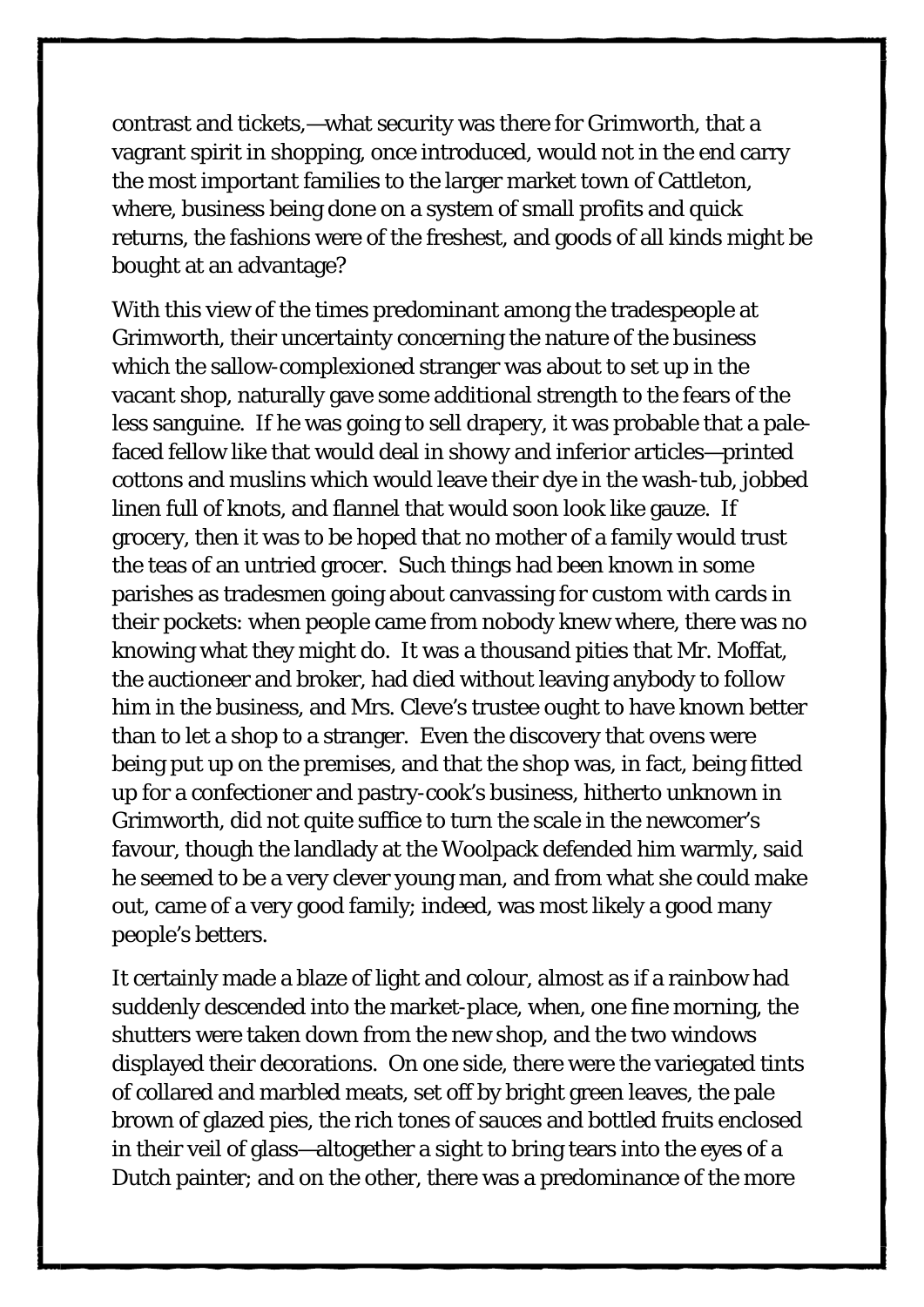contrast and tickets,—what security was there for Grimworth, that a vagrant spirit in shopping, once introduced, would not in the end carry the most important families to the larger market town of Cattleton, where, business being done on a system of small profits and quick returns, the fashions were of the freshest, and goods of all kinds might be bought at an advantage?

With this view of the times predominant among the tradespeople at Grimworth, their uncertainty concerning the nature of the business which the sallow-complexioned stranger was about to set up in the vacant shop, naturally gave some additional strength to the fears of the less sanguine. If he was going to sell drapery, it was probable that a palefaced fellow like that would deal in showy and inferior articles—printed cottons and muslins which would leave their dye in the wash-tub, jobbed linen full of knots, and flannel that would soon look like gauze. If grocery, then it was to be hoped that no mother of a family would trust the teas of an untried grocer. Such things had been known in some parishes as tradesmen going about canvassing for custom with cards in their pockets: when people came from nobody knew where, there was no knowing what they might do. It was a thousand pities that Mr. Moffat, the auctioneer and broker, had died without leaving anybody to follow him in the business, and Mrs. Cleve's trustee ought to have known better than to let a shop to a stranger. Even the discovery that ovens were being put up on the premises, and that the shop was, in fact, being fitted up for a confectioner and pastry-cook's business, hitherto unknown in Grimworth, did not quite suffice to turn the scale in the newcomer's favour, though the landlady at the Woolpack defended him warmly, said he seemed to be a very clever young man, and from what she could make out, came of a very good family; indeed, was most likely a good many people's betters.

It certainly made a blaze of light and colour, almost as if a rainbow had suddenly descended into the market-place, when, one fine morning, the shutters were taken down from the new shop, and the two windows displayed their decorations. On one side, there were the variegated tints of collared and marbled meats, set off by bright green leaves, the pale brown of glazed pies, the rich tones of sauces and bottled fruits enclosed in their veil of glass—altogether a sight to bring tears into the eyes of a Dutch painter; and on the other, there was a predominance of the more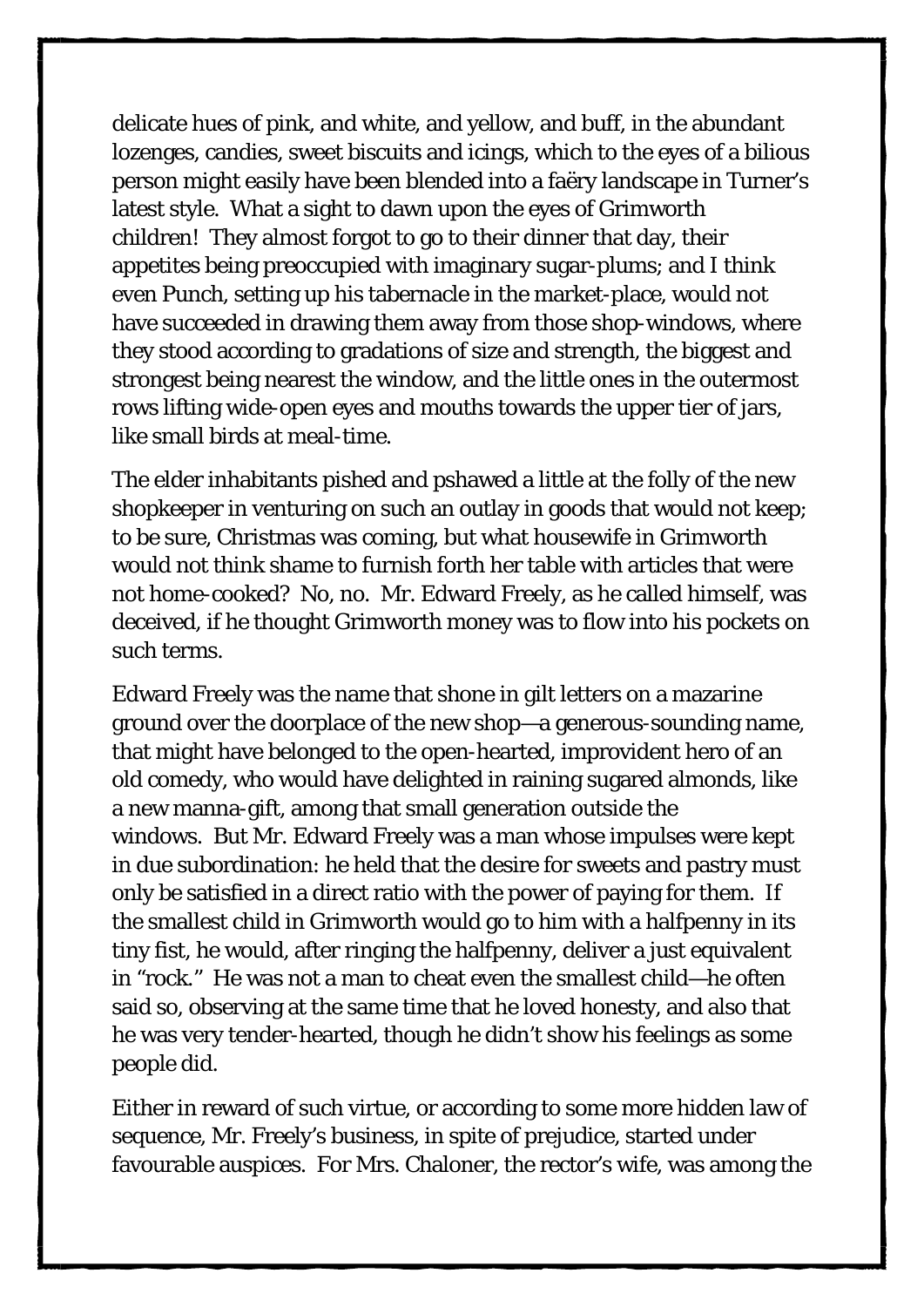delicate hues of pink, and white, and yellow, and buff, in the abundant lozenges, candies, sweet biscuits and icings, which to the eyes of a bilious person might easily have been blended into a faëry landscape in Turner's latest style. What a sight to dawn upon the eyes of Grimworth children! They almost forgot to go to their dinner that day, their appetites being preoccupied with imaginary sugar-plums; and I think even Punch, setting up his tabernacle in the market-place, would not have succeeded in drawing them away from those shop-windows, where they stood according to gradations of size and strength, the biggest and strongest being nearest the window, and the little ones in the outermost rows lifting wide-open eyes and mouths towards the upper tier of jars, like small birds at meal-time.

The elder inhabitants pished and pshawed a little at the folly of the new shopkeeper in venturing on such an outlay in goods that would not keep; to be sure, Christmas was coming, but what housewife in Grimworth would not think shame to furnish forth her table with articles that were not home-cooked? No, no. Mr. Edward Freely, as he called himself, was deceived, if he thought Grimworth money was to flow into his pockets on such terms.

Edward Freely was the name that shone in gilt letters on a mazarine ground over the doorplace of the new shop—a generous-sounding name, that might have belonged to the open-hearted, improvident hero of an old comedy, who would have delighted in raining sugared almonds, like a new manna-gift, among that small generation outside the windows. But Mr. Edward Freely was a man whose impulses were kept in due subordination: he held that the desire for sweets and pastry must only be satisfied in a direct ratio with the power of paying for them. If the smallest child in Grimworth would go to him with a halfpenny in its tiny fist, he would, after ringing the halfpenny, deliver a just equivalent in "rock." He was not a man to cheat even the smallest child—he often said so, observing at the same time that he loved honesty, and also that he was very tender-hearted, though he didn't show his feelings as some people did.

Either in reward of such virtue, or according to some more hidden law of sequence, Mr. Freely's business, in spite of prejudice, started under favourable auspices. For Mrs. Chaloner, the rector's wife, was among the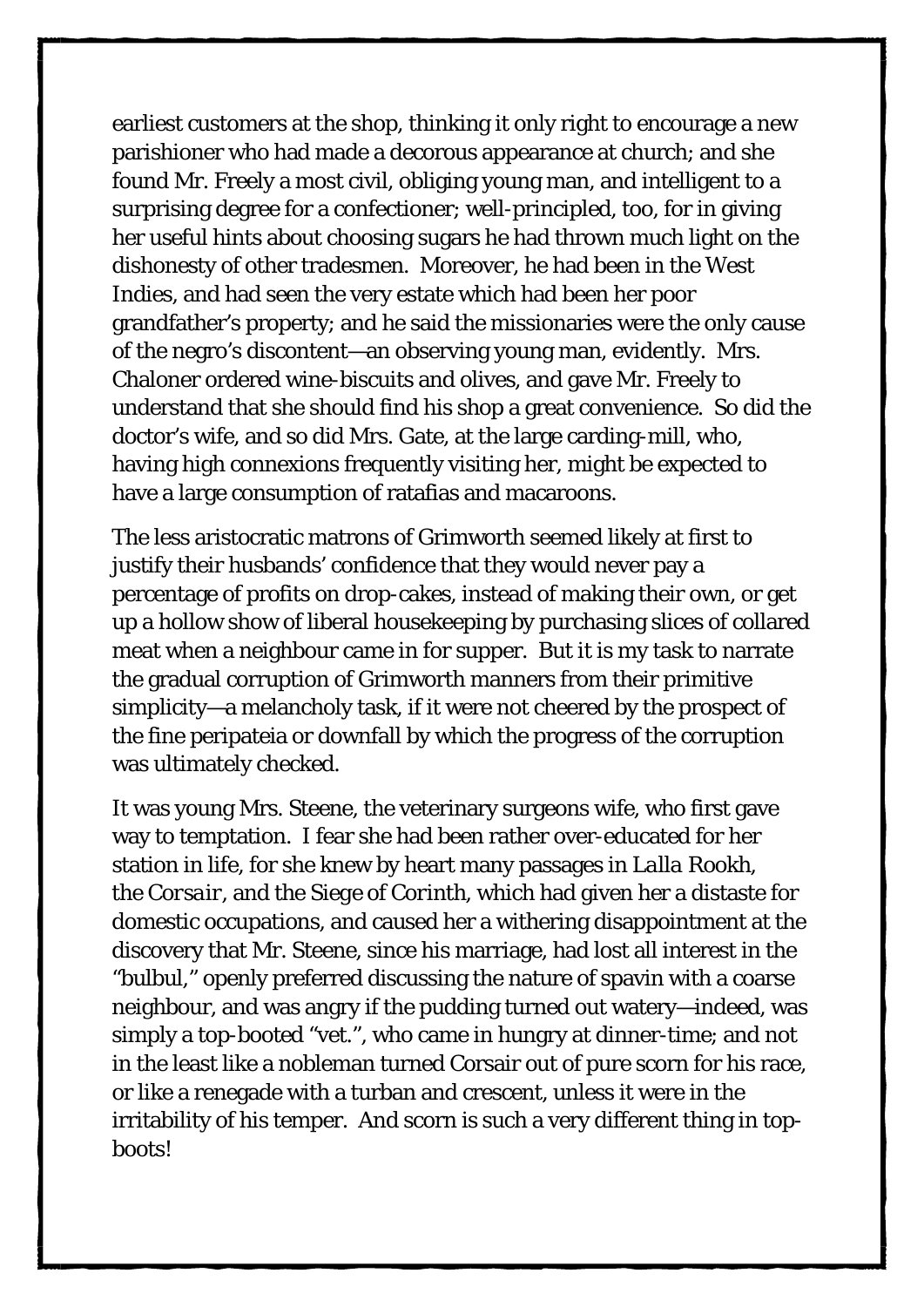earliest customers at the shop, thinking it only right to encourage a new parishioner who had made a decorous appearance at church; and she found Mr. Freely a most civil, obliging young man, and intelligent to a surprising degree for a confectioner; well-principled, too, for in giving her useful hints about choosing sugars he had thrown much light on the dishonesty of other tradesmen. Moreover, he had been in the West Indies, and had seen the very estate which had been her poor grandfather's property; and he said the missionaries were the only cause of the negro's discontent—an observing young man, evidently. Mrs. Chaloner ordered wine-biscuits and olives, and gave Mr. Freely to understand that she should find his shop a great convenience. So did the doctor's wife, and so did Mrs. Gate, at the large carding-mill, who, having high connexions frequently visiting her, might be expected to have a large consumption of ratafias and macaroons.

The less aristocratic matrons of Grimworth seemed likely at first to justify their husbands' confidence that they would never pay a percentage of profits on drop-cakes, instead of making their own, or get up a hollow show of liberal housekeeping by purchasing slices of collared meat when a neighbour came in for supper. But it is my task to narrate the gradual corruption of Grimworth manners from their primitive simplicity—a melancholy task, if it were not cheered by the prospect of the fine peripateia or downfall by which the progress of the corruption was ultimately checked.

It was young Mrs. Steene, the veterinary surgeons wife, who first gave way to temptation. I fear she had been rather over-educated for her station in life, for she knew by heart many passages in *Lalla Rookh*, the *Corsair*, and the *Siege of Corinth*, which had given her a distaste for domestic occupations, and caused her a withering disappointment at the discovery that Mr. Steene, since his marriage, had lost all interest in the "bulbul," openly preferred discussing the nature of spavin with a coarse neighbour, and was angry if the pudding turned out watery—indeed, was simply a top-booted "vet.", who came in hungry at dinner-time; and not in the least like a nobleman turned Corsair out of pure scorn for his race, or like a renegade with a turban and crescent, unless it were in the irritability of his temper. And scorn is such a very different thing in topboots!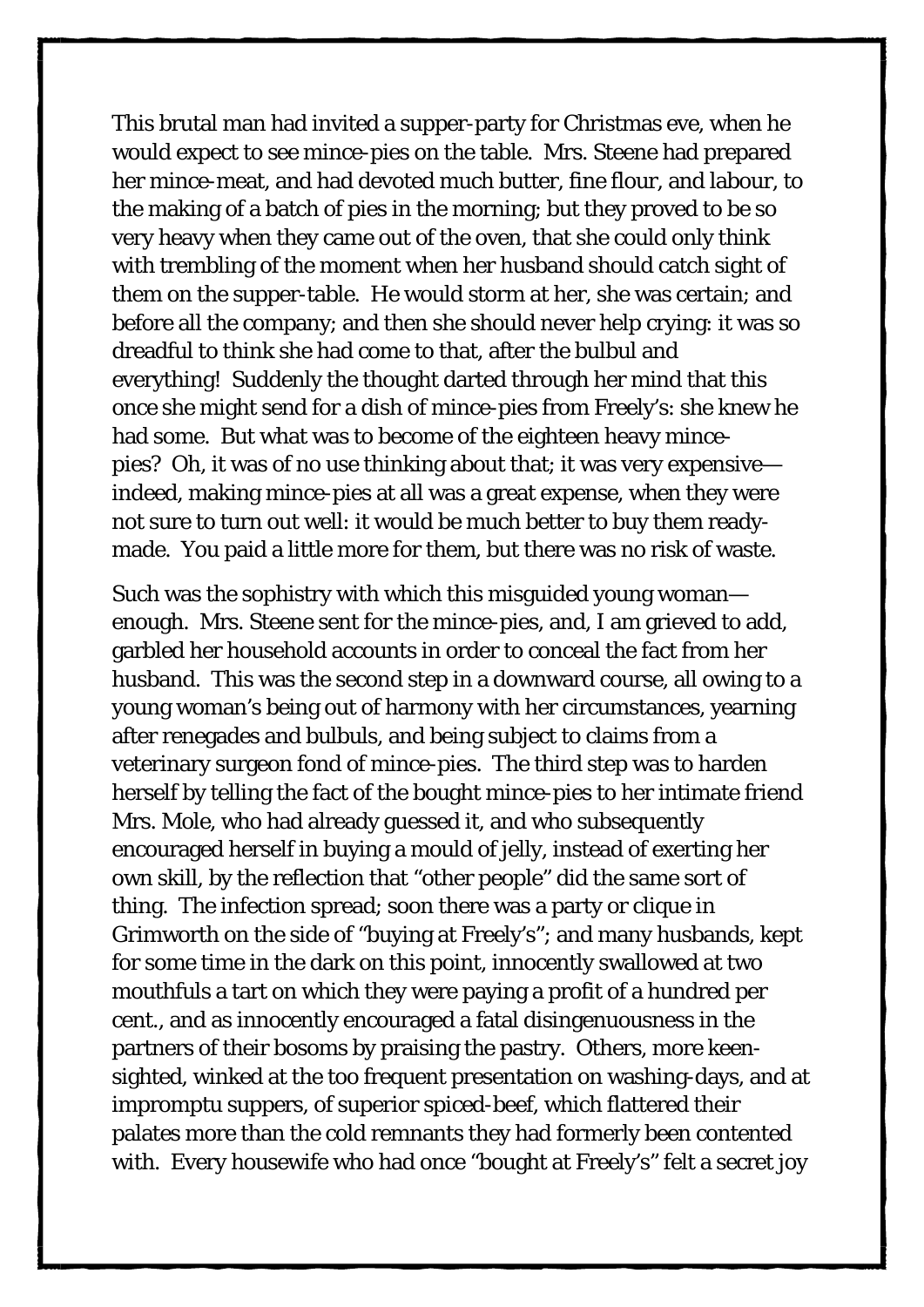This brutal man had invited a supper-party for Christmas eve, when he would expect to see mince-pies on the table. Mrs. Steene had prepared her mince-meat, and had devoted much butter, fine flour, and labour, to the making of a batch of pies in the morning; but they proved to be so very heavy when they came out of the oven, that she could only think with trembling of the moment when her husband should catch sight of them on the supper-table. He would storm at her, she was certain; and before all the company; and then she should never help crying: it was so dreadful to think she had come to that, after the bulbul and everything! Suddenly the thought darted through her mind that *this once* she might send for a dish of mince-pies from Freely's: she knew he had some. But what was to become of the eighteen heavy mincepies? Oh, it was of no use thinking about that; it was very expensive indeed, making mince-pies at all was a great expense, when they were not sure to turn out well: it would be much better to buy them readymade. You paid a little more for them, but there was no risk of waste.

Such was the sophistry with which this misguided young woman enough. Mrs. Steene sent for the mince-pies, and, I am grieved to add, garbled her household accounts in order to conceal the fact from her husband. This was the second step in a downward course, all owing to a young woman's being out of harmony with her circumstances, yearning after renegades and bulbuls, and being subject to claims from a veterinary surgeon fond of mince-pies. The third step was to harden herself by telling the fact of the bought mince-pies to her intimate friend Mrs. Mole, who had already guessed it, and who subsequently encouraged herself in buying a mould of jelly, instead of exerting her own skill, by the reflection that "other people" did the same sort of thing. The infection spread; soon there was a party or clique in Grimworth on the side of "buying at Freely's"; and many husbands, kept for some time in the dark on this point, innocently swallowed at two mouthfuls a tart on which they were paying a profit of a hundred per cent., and as innocently encouraged a fatal disingenuousness in the partners of their bosoms by praising the pastry. Others, more keensighted, winked at the too frequent presentation on washing-days, and at impromptu suppers, of superior spiced-beef, which flattered their palates more than the cold remnants they had formerly been contented with. Every housewife who had once "bought at Freely's" felt a secret joy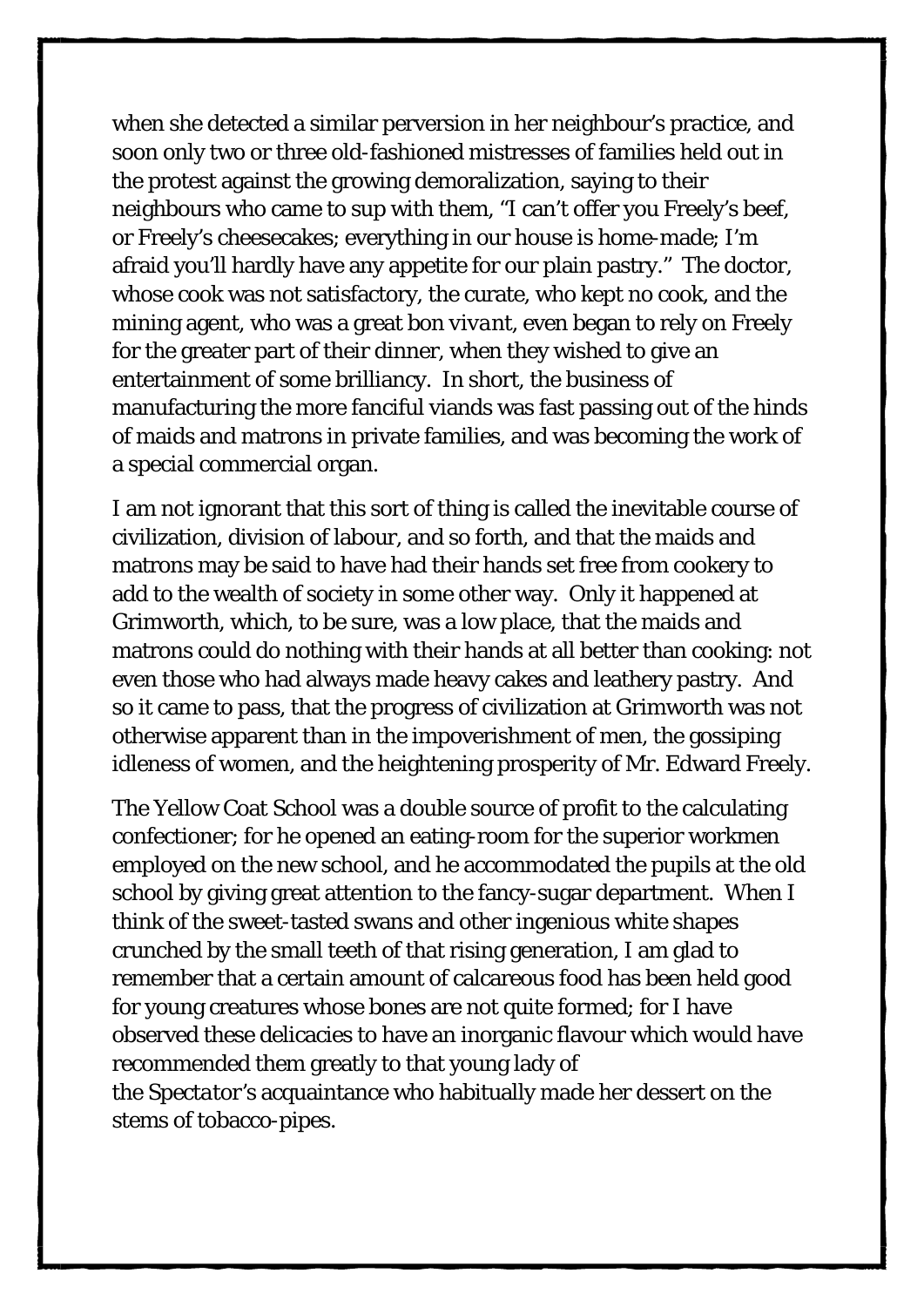when she detected a similar perversion in her neighbour's practice, and soon only two or three old-fashioned mistresses of families held out in the protest against the growing demoralization, saying to their neighbours who came to sup with them, "I can't offer you Freely's beef, or Freely's cheesecakes; everything in our house is home-made; I'm afraid you'll hardly have any appetite for our plain pastry." The doctor, whose cook was not satisfactory, the curate, who kept no cook, and the mining agent, who was a great *bon vivant*, even began to rely on Freely for the greater part of their dinner, when they wished to give an entertainment of some brilliancy. In short, the business of manufacturing the more fanciful viands was fast passing out of the hinds of maids and matrons in private families, and was becoming the work of a special commercial organ.

I am not ignorant that this sort of thing is called the inevitable course of civilization, division of labour, and so forth, and that the maids and matrons may be said to have had their hands set free from cookery to add to the wealth of society in some other way. Only it happened at Grimworth, which, to be sure, was a low place, that the maids and matrons could do nothing with their hands at all better than cooking: not even those who had always made heavy cakes and leathery pastry. And so it came to pass, that the progress of civilization at Grimworth was not otherwise apparent than in the impoverishment of men, the gossiping idleness of women, and the heightening prosperity of Mr. Edward Freely.

The Yellow Coat School was a double source of profit to the calculating confectioner; for he opened an eating-room for the superior workmen employed on the new school, and he accommodated the pupils at the old school by giving great attention to the fancy-sugar department. When I think of the sweet-tasted swans and other ingenious white shapes crunched by the small teeth of that rising generation, I am glad to remember that a certain amount of calcareous food has been held good for young creatures whose bones are not quite formed; for I have observed these delicacies to have an inorganic flavour which would have recommended them greatly to that young lady of the *Spectator's* acquaintance who habitually made her dessert on the stems of tobacco-pipes.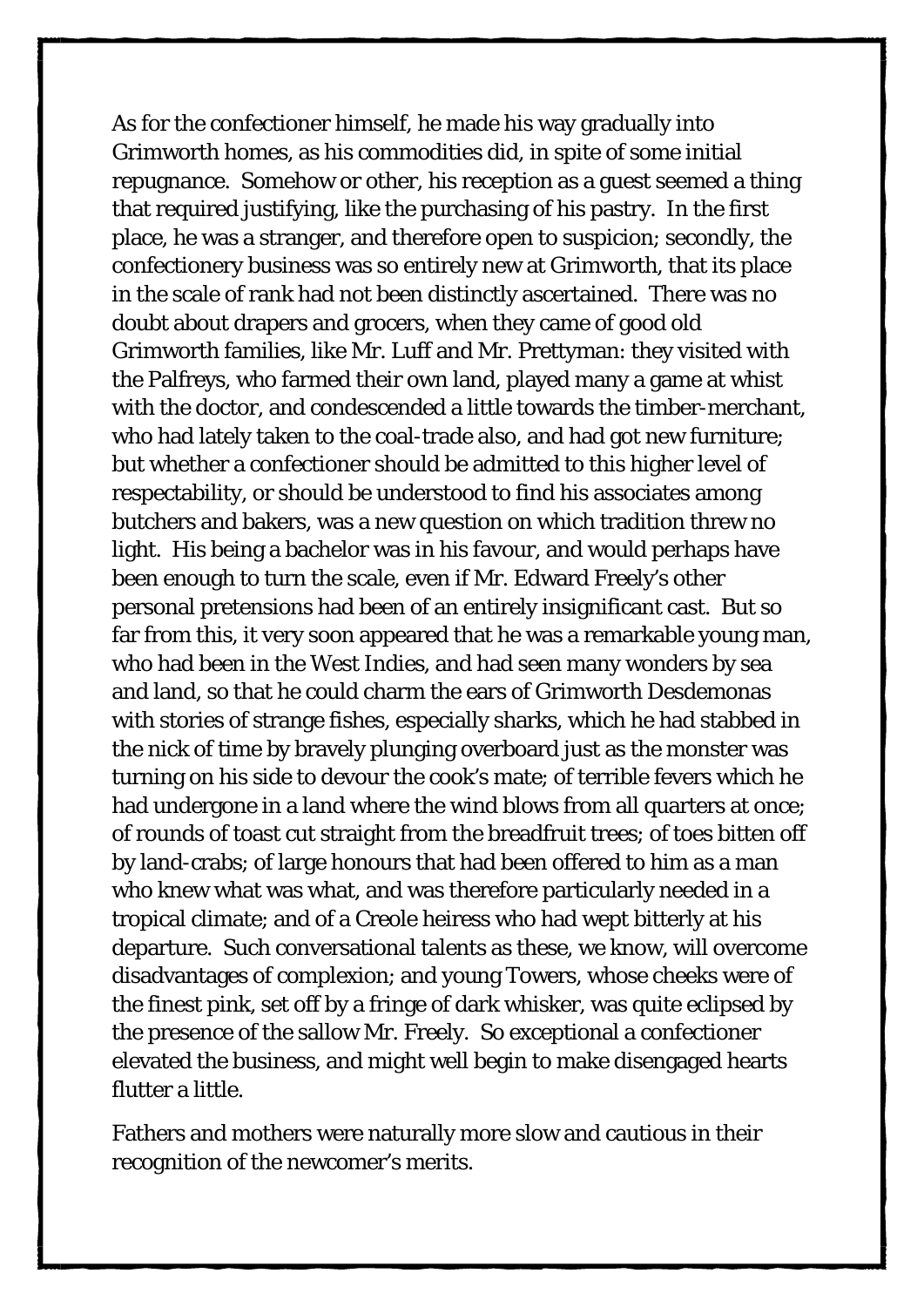As for the confectioner himself, he made his way gradually into Grimworth homes, as his commodities did, in spite of some initial repugnance. Somehow or other, his reception as a guest seemed a thing that required justifying, like the purchasing of his pastry. In the first place, he was a stranger, and therefore open to suspicion; secondly, the confectionery business was so entirely new at Grimworth, that its place in the scale of rank had not been distinctly ascertained. There was no doubt about drapers and grocers, when they came of good old Grimworth families, like Mr. Luff and Mr. Prettyman: they visited with the Palfreys, who farmed their own land, played many a game at whist with the doctor, and condescended a little towards the timber-merchant, who had lately taken to the coal-trade also, and had got new furniture; but whether a confectioner should be admitted to this higher level of respectability, or should be understood to find his associates among butchers and bakers, was a new question on which tradition threw no light. His being a bachelor was in his favour, and would perhaps have been enough to turn the scale, even if Mr. Edward Freely's other personal pretensions had been of an entirely insignificant cast. But so far from this, it very soon appeared that he was a remarkable young man, who had been in the West Indies, and had seen many wonders by sea and land, so that he could charm the ears of Grimworth Desdemonas with stories of strange fishes, especially sharks, which he had stabbed in the nick of time by bravely plunging overboard just as the monster was turning on his side to devour the cook's mate; of terrible fevers which he had undergone in a land where the wind blows from all quarters at once; of rounds of toast cut straight from the breadfruit trees; of toes bitten off by land-crabs; of large honours that had been offered to him as a man who knew what was what, and was therefore particularly needed in a tropical climate; and of a Creole heiress who had wept bitterly at his departure. Such conversational talents as these, we know, will overcome disadvantages of complexion; and young Towers, whose cheeks were of the finest pink, set off by a fringe of dark whisker, was quite eclipsed by the presence of the sallow Mr. Freely. So exceptional a confectioner elevated the business, and might well begin to make disengaged hearts flutter a little.

Fathers and mothers were naturally more slow and cautious in their recognition of the newcomer's merits.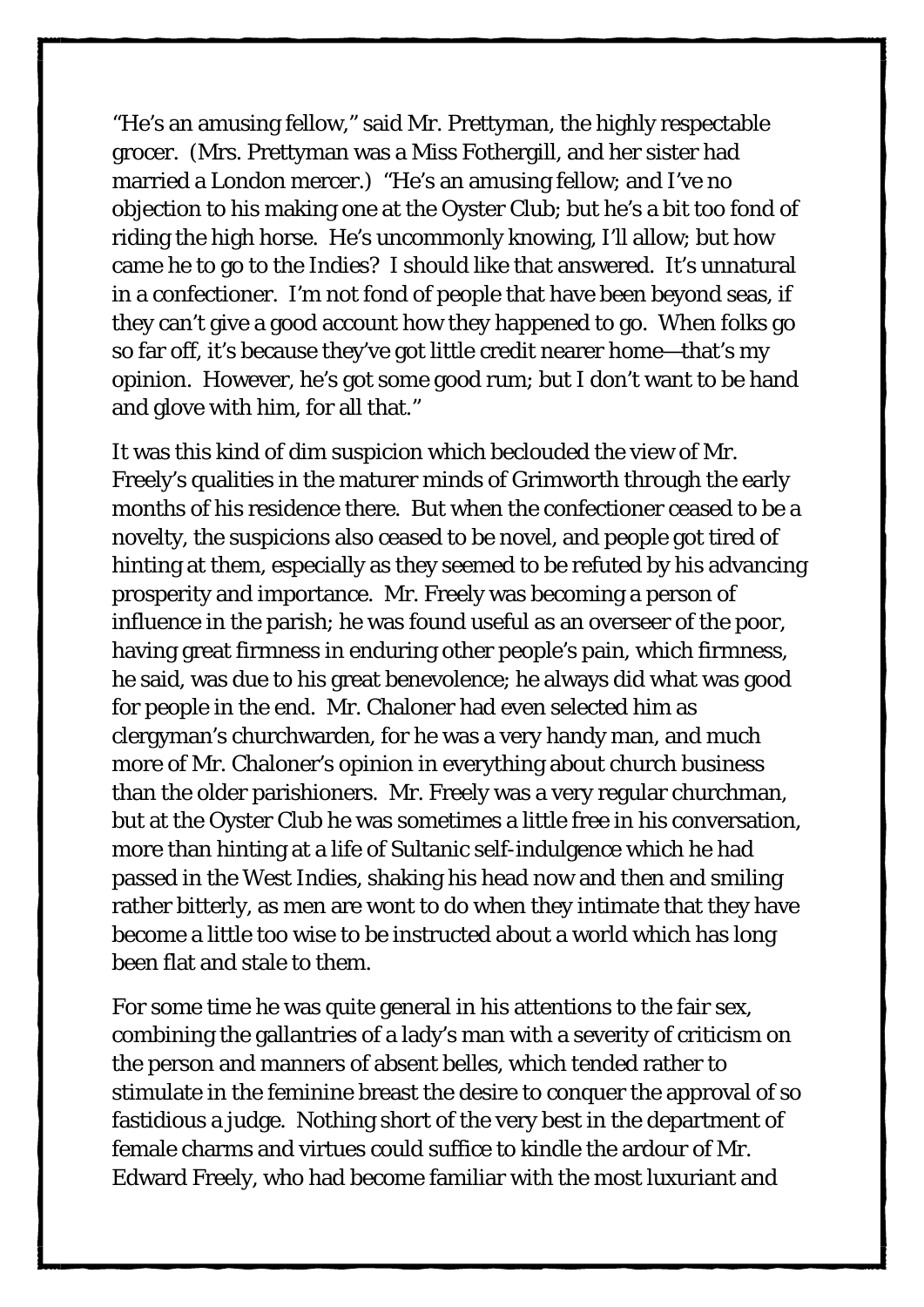"He's an amusing fellow," said Mr. Prettyman, the highly respectable grocer. (Mrs. Prettyman was a Miss Fothergill, and her sister had married a London mercer.) "He's an amusing fellow; and I've no objection to his making one at the Oyster Club; but he's a bit too fond of riding the high horse. He's uncommonly knowing, I'll allow; but how came he to go to the Indies? I should like that answered. It's unnatural in a confectioner. I'm not fond of people that have been beyond seas, if they can't give a good account how they happened to go. When folks go so far off, it's because they've got little credit nearer home—that's my opinion. However, he's got some good rum; but I don't want to be hand and glove with him, for all that."

It was this kind of dim suspicion which beclouded the view of Mr. Freely's qualities in the maturer minds of Grimworth through the early months of his residence there. But when the confectioner ceased to be a novelty, the suspicions also ceased to be novel, and people got tired of hinting at them, especially as they seemed to be refuted by his advancing prosperity and importance. Mr. Freely was becoming a person of influence in the parish; he was found useful as an overseer of the poor, having great firmness in enduring other people's pain, which firmness, he said, was due to his great benevolence; he always did what was good for people in the end. Mr. Chaloner had even selected him as clergyman's churchwarden, for he was a very handy man, and much more of Mr. Chaloner's opinion in everything about church business than the older parishioners. Mr. Freely was a very regular churchman, but at the Oyster Club he was sometimes a little free in his conversation, more than hinting at a life of Sultanic self-indulgence which he had passed in the West Indies, shaking his head now and then and smiling rather bitterly, as men are wont to do when they intimate that they have become a little too wise to be instructed about a world which has long been flat and stale to them.

For some time he was quite general in his attentions to the fair sex, combining the gallantries of a lady's man with a severity of criticism on the person and manners of absent belles, which tended rather to stimulate in the feminine breast the desire to conquer the approval of so fastidious a judge. Nothing short of the very best in the department of female charms and virtues could suffice to kindle the ardour of Mr. Edward Freely, who had become familiar with the most luxuriant and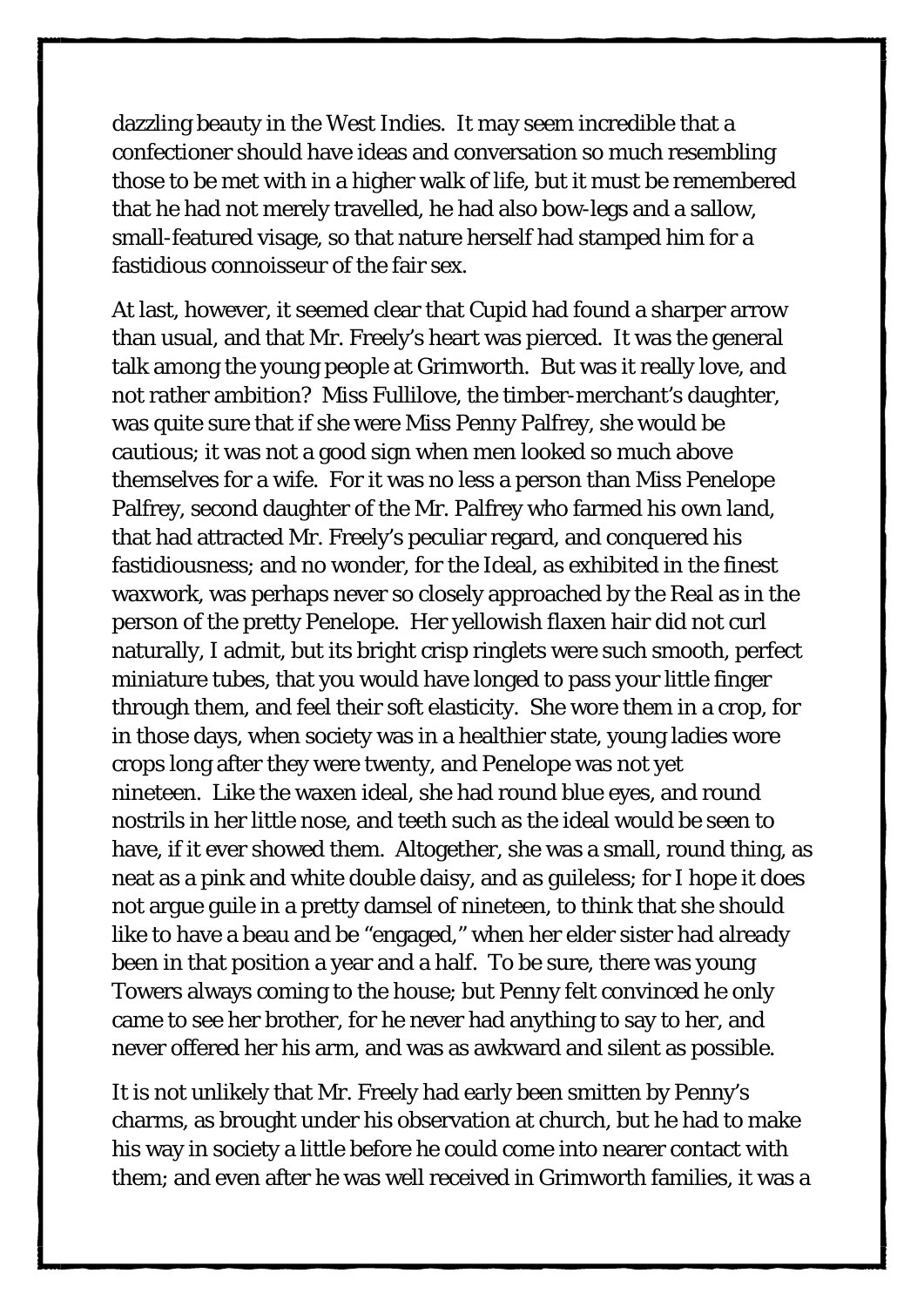dazzling beauty in the West Indies. It may seem incredible that a confectioner should have ideas and conversation so much resembling those to be met with in a higher walk of life, but it must be remembered that he had not merely travelled, he had also bow-legs and a sallow, small-featured visage, so that nature herself had stamped him for a fastidious connoisseur of the fair sex.

At last, however, it seemed clear that Cupid had found a sharper arrow than usual, and that Mr. Freely's heart was pierced. It was the general talk among the young people at Grimworth. But was it really love, and not rather ambition? Miss Fullilove, the timber-merchant's daughter, was quite sure that if *she* were Miss Penny Palfrey, she would be cautious; it was not a good sign when men looked so much above themselves for a wife. For it was no less a person than Miss Penelope Palfrey, second daughter of the Mr. Palfrey who farmed his own land, that had attracted Mr. Freely's peculiar regard, and conquered his fastidiousness; and no wonder, for the Ideal, as exhibited in the finest waxwork, was perhaps never so closely approached by the Real as in the person of the pretty Penelope. Her yellowish flaxen hair did not curl naturally, I admit, but its bright crisp ringlets were such smooth, perfect miniature tubes, that you would have longed to pass your little finger through them, and feel their soft elasticity. She wore them in a crop, for in those days, when society was in a healthier state, young ladies wore crops long after they were twenty, and Penelope was not yet nineteen. Like the waxen ideal, she had round blue eyes, and round nostrils in her little nose, and teeth such as the ideal would be seen to have, if it ever showed them. Altogether, she was a small, round thing, as neat as a pink and white double daisy, and as guileless; for I hope it does not argue guile in a pretty damsel of nineteen, to think that she should like to have a beau and be "engaged," when her elder sister had already been in that position a year and a half. To be sure, there was young Towers always coming to the house; but Penny felt convinced he only came to see her brother, for he never had anything to say to her, and never offered her his arm, and was as awkward and silent as possible.

It is not unlikely that Mr. Freely had early been smitten by Penny's charms, as brought under his observation at church, but he had to make his way in society a little before he could come into nearer contact with them; and even after he was well received in Grimworth families, it was a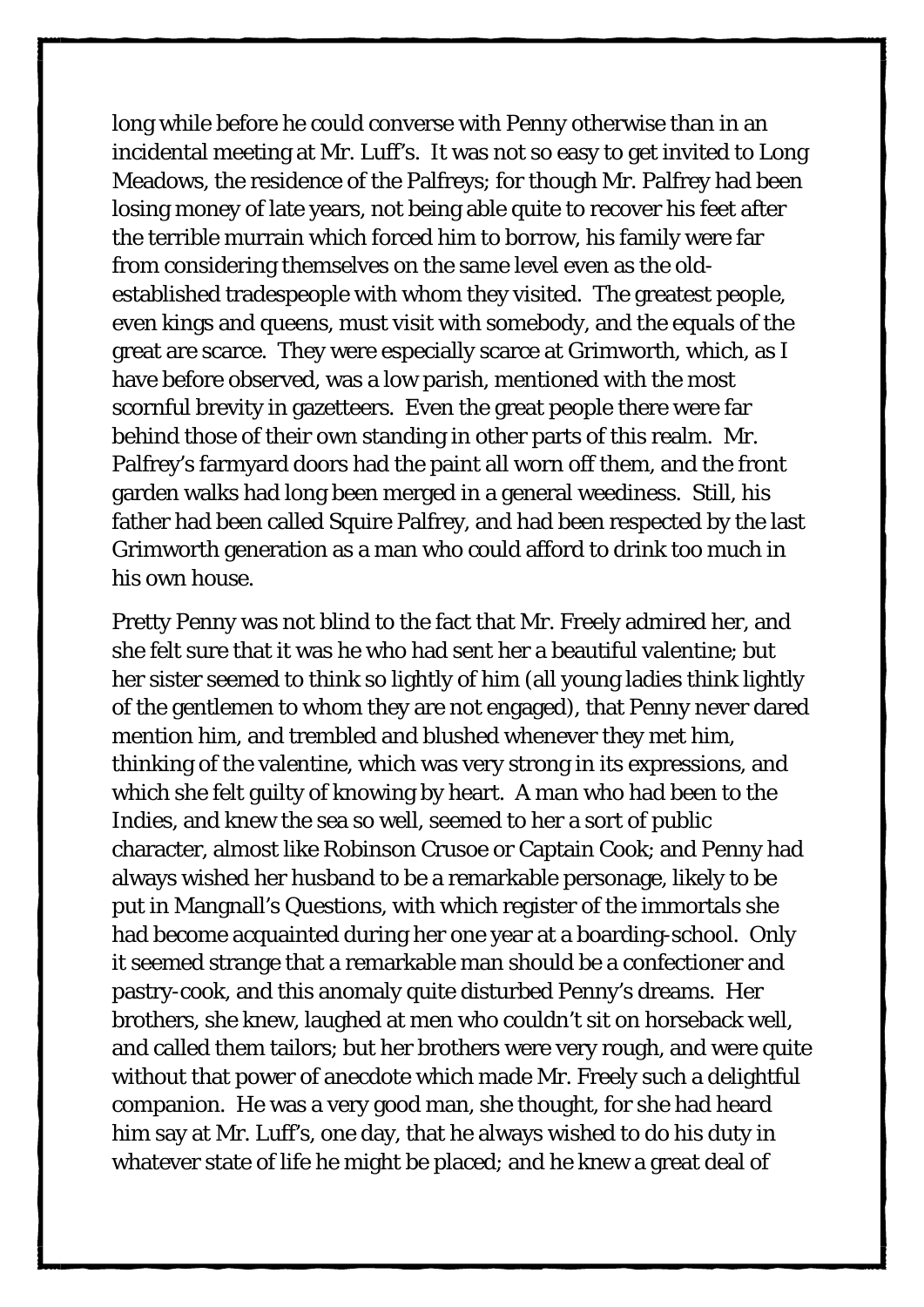long while before he could converse with Penny otherwise than in an incidental meeting at Mr. Luff's. It was not so easy to get invited to Long Meadows, the residence of the Palfreys; for though Mr. Palfrey had been losing money of late years, not being able quite to recover his feet after the terrible murrain which forced him to borrow, his family were far from considering themselves on the same level even as the oldestablished tradespeople with whom they visited. The greatest people, even kings and queens, must visit with somebody, and the equals of the great are scarce. They were especially scarce at Grimworth, which, as I have before observed, was a low parish, mentioned with the most scornful brevity in gazetteers. Even the great people there were far behind those of their own standing in other parts of this realm. Mr. Palfrey's farmyard doors had the paint all worn off them, and the front garden walks had long been merged in a general weediness. Still, his father had been called Squire Palfrey, and had been respected by the last Grimworth generation as a man who could afford to drink too much in his own house.

Pretty Penny was not blind to the fact that Mr. Freely admired her, and she felt sure that it was he who had sent her a beautiful valentine; but her sister seemed to think so lightly of him (all young ladies think lightly of the gentlemen to whom they are not engaged), that Penny never dared mention him, and trembled and blushed whenever they met him, thinking of the valentine, which was very strong in its expressions, and which she felt guilty of knowing by heart. A man who had been to the Indies, and knew the sea so well, seemed to her a sort of public character, almost like Robinson Crusoe or Captain Cook; and Penny had always wished her husband to be a remarkable personage, likely to be put in Mangnall's Questions, with which register of the immortals she had become acquainted during her one year at a boarding-school. Only it seemed strange that a remarkable man should be a confectioner and pastry-cook, and this anomaly quite disturbed Penny's dreams. Her brothers, she knew, laughed at men who couldn't sit on horseback well, and called them tailors; but her brothers were very rough, and were quite without that power of anecdote which made Mr. Freely such a delightful companion. He was a very good man, she thought, for she had heard him say at Mr. Luff's, one day, that he always wished to do his duty in whatever state of life he might be placed; and he knew a great deal of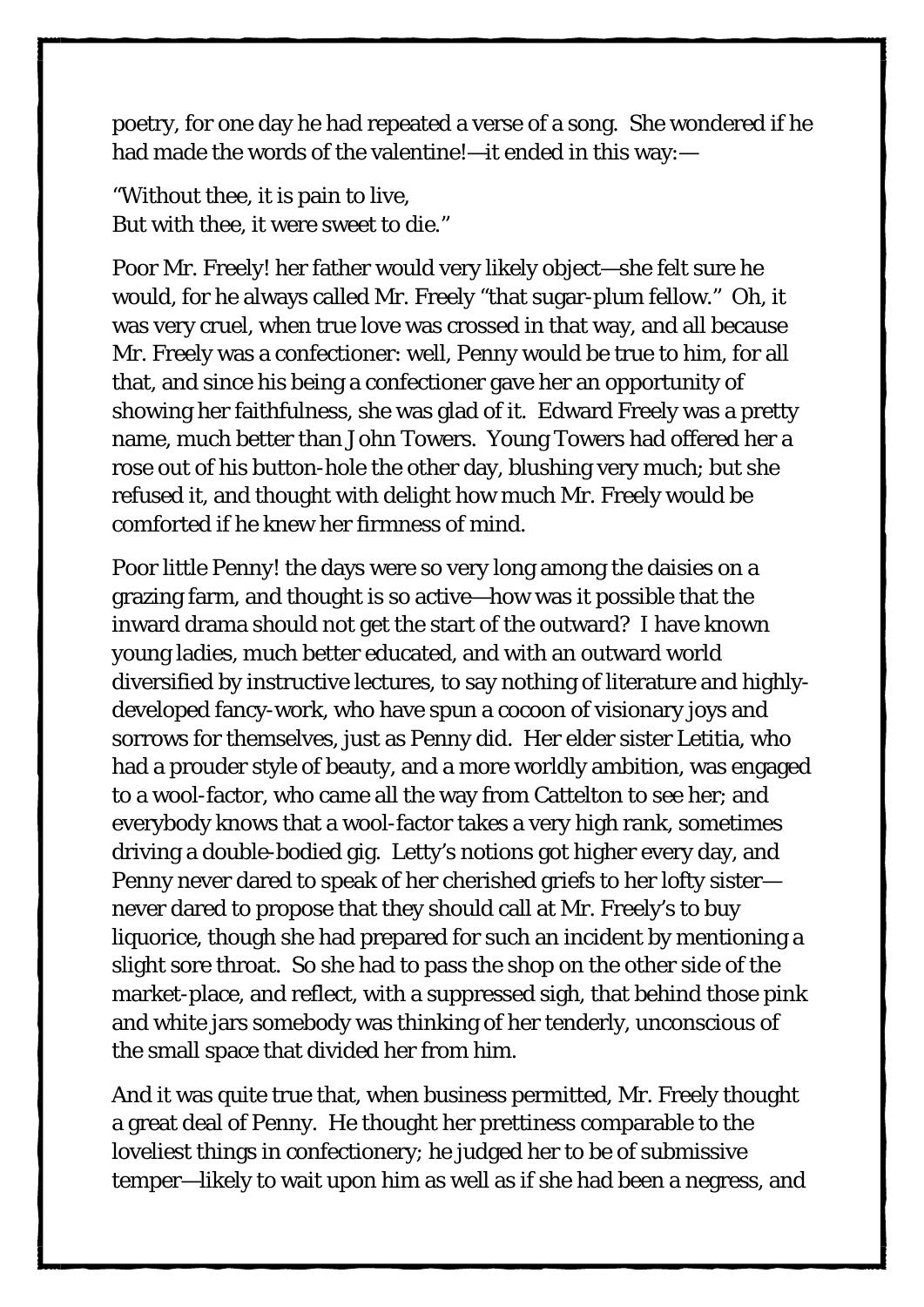poetry, for one day he had repeated a verse of a song. She wondered if he had made the words of the valentine!—it ended in this way:—

"Without thee, it is pain to live, But with thee, it were sweet to die."

Poor Mr. Freely! her father would very likely object—she felt sure he would, for he always called Mr. Freely "that sugar-plum fellow." Oh, it was very cruel, when true love was crossed in that way, and all because Mr. Freely was a confectioner: well, Penny would be true to him, for all that, and since his being a confectioner gave her an opportunity of showing her faithfulness, she was glad of it. Edward Freely was a pretty name, much better than John Towers. Young Towers had offered her a rose out of his button-hole the other day, blushing very much; but she refused it, and thought with delight how much Mr. Freely would be comforted if he knew her firmness of mind.

Poor little Penny! the days were so very long among the daisies on a grazing farm, and thought is so active—how was it possible that the inward drama should not get the start of the outward? I have known young ladies, much better educated, and with an outward world diversified by instructive lectures, to say nothing of literature and highlydeveloped fancy-work, who have spun a cocoon of visionary joys and sorrows for themselves, just as Penny did. Her elder sister Letitia, who had a prouder style of beauty, and a more worldly ambition, was engaged to a wool-factor, who came all the way from Cattelton to see her; and everybody knows that a wool-factor takes a very high rank, sometimes driving a double-bodied gig. Letty's notions got higher every day, and Penny never dared to speak of her cherished griefs to her lofty sister never dared to propose that they should call at Mr. Freely's to buy liquorice, though she had prepared for such an incident by mentioning a slight sore throat. So she had to pass the shop on the other side of the market-place, and reflect, with a suppressed sigh, that behind those pink and white jars somebody was thinking of her tenderly, unconscious of the small space that divided her from him.

And it was quite true that, when business permitted, Mr. Freely thought a great deal of Penny. He thought her prettiness comparable to the loveliest things in confectionery; he judged her to be of submissive temper—likely to wait upon him as well as if she had been a negress, and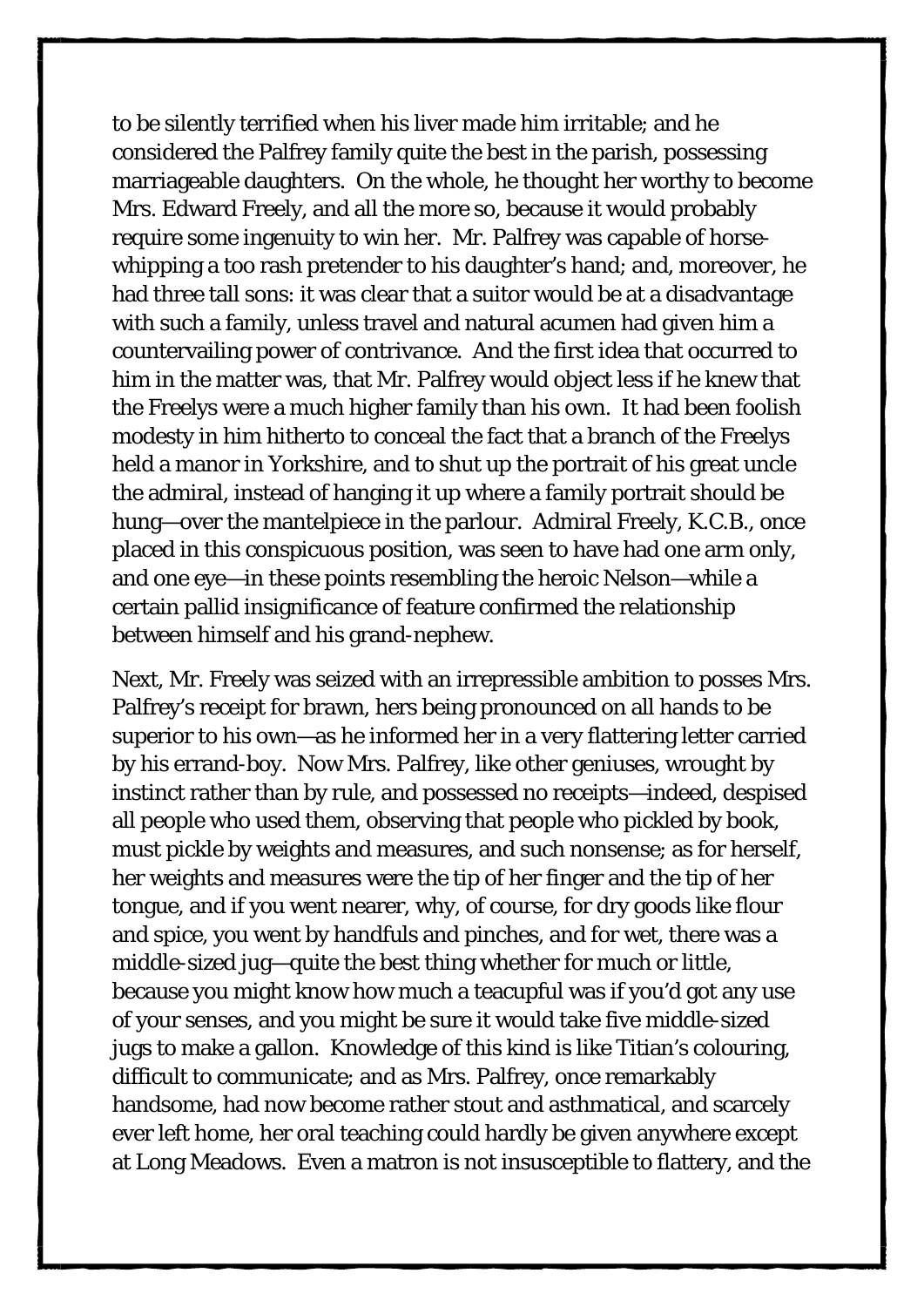to be silently terrified when his liver made him irritable; and he considered the Palfrey family quite the best in the parish, possessing marriageable daughters. On the whole, he thought her worthy to become Mrs. Edward Freely, and all the more so, because it would probably require some ingenuity to win her. Mr. Palfrey was capable of horsewhipping a too rash pretender to his daughter's hand; and, moreover, he had three tall sons: it was clear that a suitor would be at a disadvantage with such a family, unless travel and natural acumen had given him a countervailing power of contrivance. And the first idea that occurred to him in the matter was, that Mr. Palfrey would object less if he knew that the Freelys were a much higher family than his own. It had been foolish modesty in him hitherto to conceal the fact that a branch of the Freelys held a manor in Yorkshire, and to shut up the portrait of his great uncle the admiral, instead of hanging it up where a family portrait should be hung—over the mantelpiece in the parlour. Admiral Freely, K.C.B., once placed in this conspicuous position, was seen to have had one arm only, and one eye—in these points resembling the heroic Nelson—while a certain pallid insignificance of feature confirmed the relationship between himself and his grand-nephew.

Next, Mr. Freely was seized with an irrepressible ambition to posses Mrs. Palfrey's receipt for brawn, hers being pronounced on all hands to be superior to his own—as he informed her in a very flattering letter carried by his errand-boy. Now Mrs. Palfrey, like other geniuses, wrought by instinct rather than by rule, and possessed no receipts—indeed, despised all people who used them, observing that people who pickled by book, must pickle by weights and measures, and such nonsense; as for herself, her weights and measures were the tip of her finger and the tip of her tongue, and if you went nearer, why, of course, for dry goods like flour and spice, you went by handfuls and pinches, and for wet, there was a middle-sized jug—quite the best thing whether for much or little, because you might know how much a teacupful was if you'd got any use of your senses, and you might be sure it would take five middle-sized jugs to make a gallon. Knowledge of this kind is like Titian's colouring, difficult to communicate; and as Mrs. Palfrey, once remarkably handsome, had now become rather stout and asthmatical, and scarcely ever left home, her oral teaching could hardly be given anywhere except at Long Meadows. Even a matron is not insusceptible to flattery, and the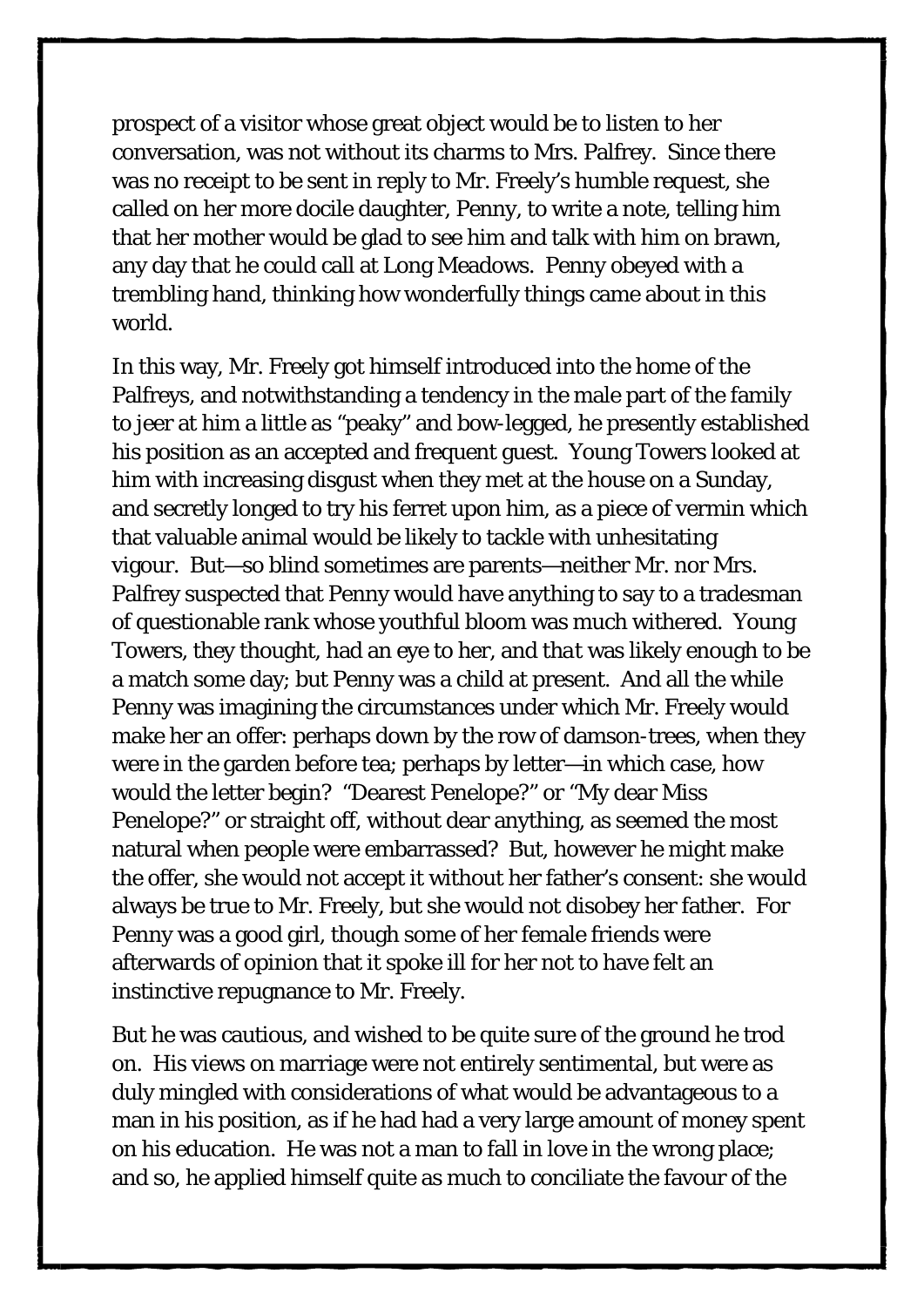prospect of a visitor whose great object would be to listen to her conversation, was not without its charms to Mrs. Palfrey. Since there was no receipt to be sent in reply to Mr. Freely's humble request, she called on her more docile daughter, Penny, to write a note, telling him that her mother would be glad to see him and talk with him on brawn, any day that he could call at Long Meadows. Penny obeyed with a trembling hand, thinking how wonderfully things came about in this world.

In this way, Mr. Freely got himself introduced into the home of the Palfreys, and notwithstanding a tendency in the male part of the family to jeer at him a little as "peaky" and bow-legged, he presently established his position as an accepted and frequent guest. Young Towers looked at him with increasing disgust when they met at the house on a Sunday, and secretly longed to try his ferret upon him, as a piece of vermin which that valuable animal would be likely to tackle with unhesitating vigour. But—so blind sometimes are parents—neither Mr. nor Mrs. Palfrey suspected that Penny would have anything to say to a tradesman of questionable rank whose youthful bloom was much withered. Young Towers, they thought, had an eye to her, and *that* was likely enough to be a match some day; but Penny was a child at present. And all the while Penny was imagining the circumstances under which Mr. Freely would make her an offer: perhaps down by the row of damson-trees, when they were in the garden before tea; perhaps by letter—in which case, how would the letter begin? "Dearest Penelope?" or "My dear Miss Penelope?" or straight off, without dear anything, as seemed the most natural when people were embarrassed? But, however he might make the offer, she would not accept it without her father's consent: she would always be true to Mr. Freely, but she would not disobey her father. For Penny was a good girl, though some of her female friends were afterwards of opinion that it spoke ill for her not to have felt an instinctive repugnance to Mr. Freely.

But he was cautious, and wished to be quite sure of the ground he trod on. His views on marriage were not entirely sentimental, but were as duly mingled with considerations of what would be advantageous to a man in his position, as if he had had a very large amount of money spent on his education. He was not a man to fall in love in the wrong place; and so, he applied himself quite as much to conciliate the favour of the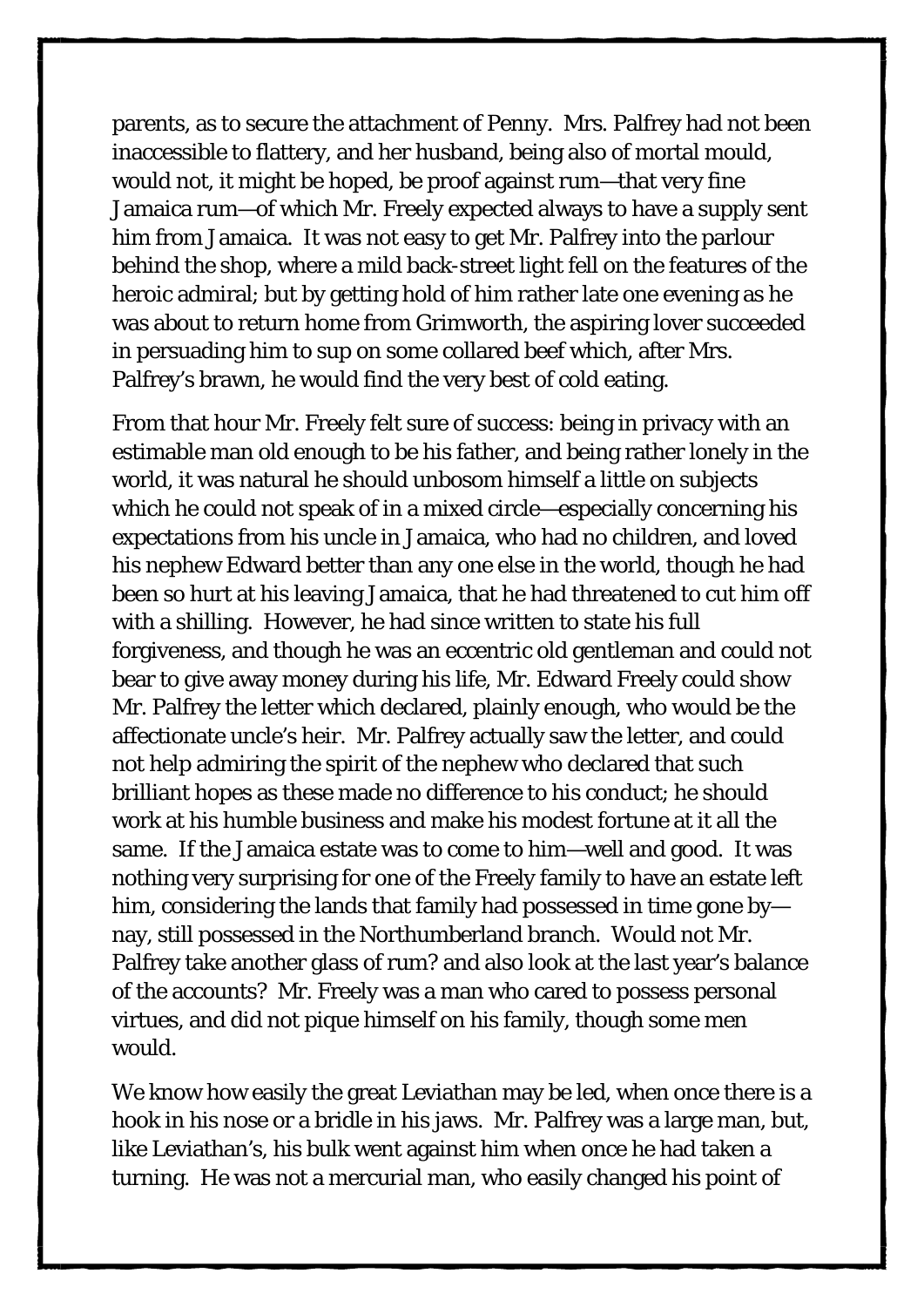parents, as to secure the attachment of Penny. Mrs. Palfrey had not been inaccessible to flattery, and her husband, being also of mortal mould, would not, it might be hoped, be proof against rum—that very fine Jamaica rum—of which Mr. Freely expected always to have a supply sent him from Jamaica. It was not easy to get Mr. Palfrey into the parlour behind the shop, where a mild back-street light fell on the features of the heroic admiral; but by getting hold of him rather late one evening as he was about to return home from Grimworth, the aspiring lover succeeded in persuading him to sup on some collared beef which, after Mrs. Palfrey's brawn, he would find the very best of cold eating.

From that hour Mr. Freely felt sure of success: being in privacy with an estimable man old enough to be his father, and being rather lonely in the world, it was natural he should unbosom himself a little on subjects which he could not speak of in a mixed circle—especially concerning his expectations from his uncle in Jamaica, who had no children, and loved his nephew Edward better than any one else in the world, though he had been so hurt at his leaving Jamaica, that he had threatened to cut him off with a shilling. However, he had since written to state his full forgiveness, and though he was an eccentric old gentleman and could not bear to give away money during his life, Mr. Edward Freely could show Mr. Palfrey the letter which declared, plainly enough, who would be the affectionate uncle's heir. Mr. Palfrey actually saw the letter, and could not help admiring the spirit of the nephew who declared that such brilliant hopes as these made no difference to his conduct; he should work at his humble business and make his modest fortune at it all the same. If the Jamaica estate was to come to him—well and good. It was nothing very surprising for one of the Freely family to have an estate left him, considering the lands that family had possessed in time gone by nay, still possessed in the Northumberland branch. Would not Mr. Palfrey take another glass of rum? and also look at the last year's balance of the accounts? Mr. Freely was a man who cared to possess personal virtues, and did not pique himself on his family, though some men would.

We know how easily the great Leviathan may be led, when once there is a hook in his nose or a bridle in his jaws. Mr. Palfrey was a large man, but, like Leviathan's, his bulk went against him when once he had taken a turning. He was not a mercurial man, who easily changed his point of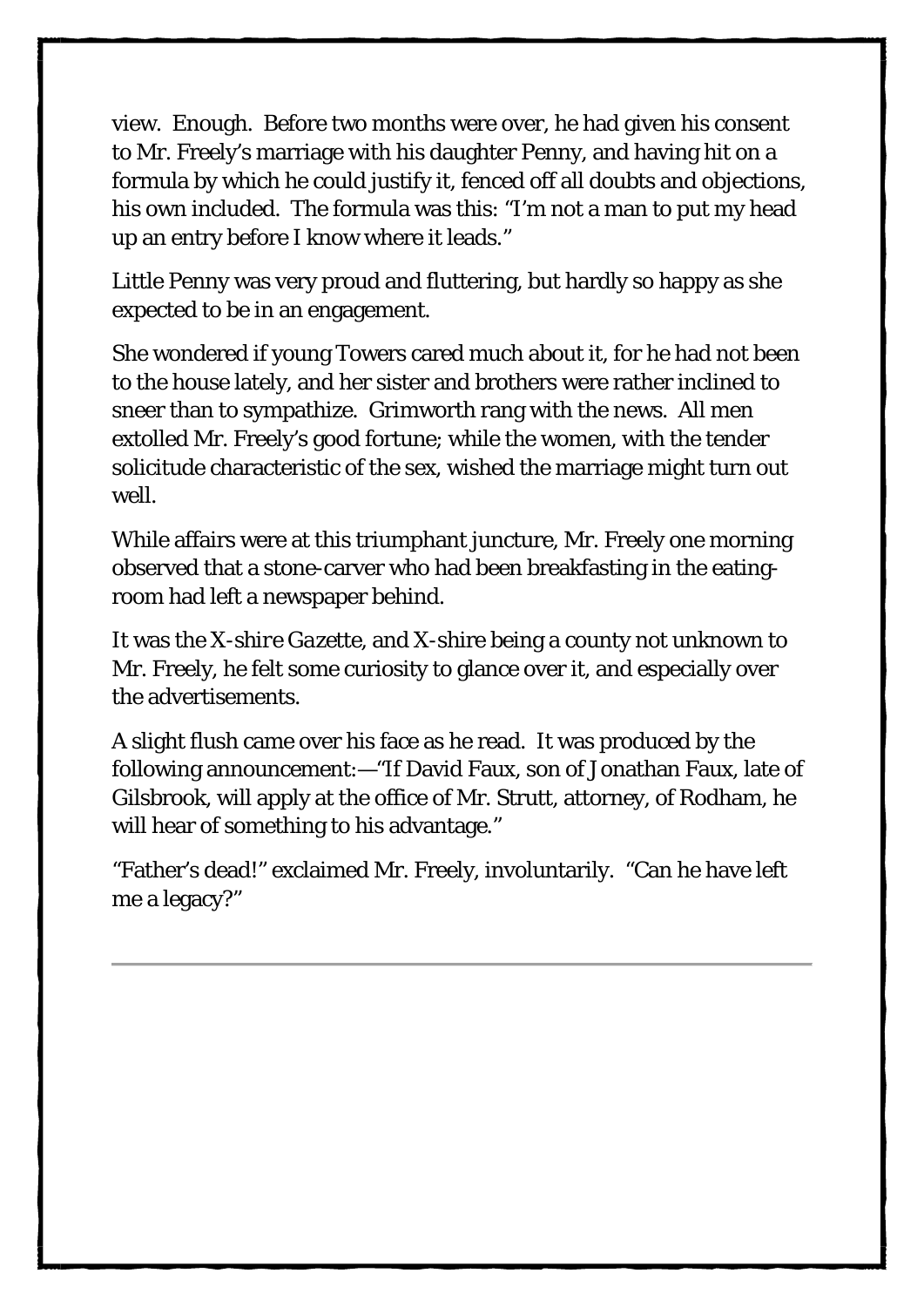view. Enough. Before two months were over, he had given his consent to Mr. Freely's marriage with his daughter Penny, and having hit on a formula by which he could justify it, fenced off all doubts and objections, his own included. The formula was this: "I'm not a man to put my head up an entry before I know where it leads."

Little Penny was very proud and fluttering, but hardly so happy as she expected to be in an engagement.

She wondered if young Towers cared much about it, for he had not been to the house lately, and her sister and brothers were rather inclined to sneer than to sympathize. Grimworth rang with the news. All men extolled Mr. Freely's good fortune; while the women, with the tender solicitude characteristic of the sex, wished the marriage might turn out well.

While affairs were at this triumphant juncture, Mr. Freely one morning observed that a stone-carver who had been breakfasting in the eatingroom had left a newspaper behind.

It was the *X-shire Gazette*, and X-shire being a county not unknown to Mr. Freely, he felt some curiosity to glance over it, and especially over the advertisements.

A slight flush came over his face as he read. It was produced by the following announcement:—"If David Faux, son of Jonathan Faux, late of Gilsbrook, will apply at the office of Mr. Strutt, attorney, of Rodham, he will hear of something to his advantage."

"Father's dead!" exclaimed Mr. Freely, involuntarily. "Can he have left me a legacy?"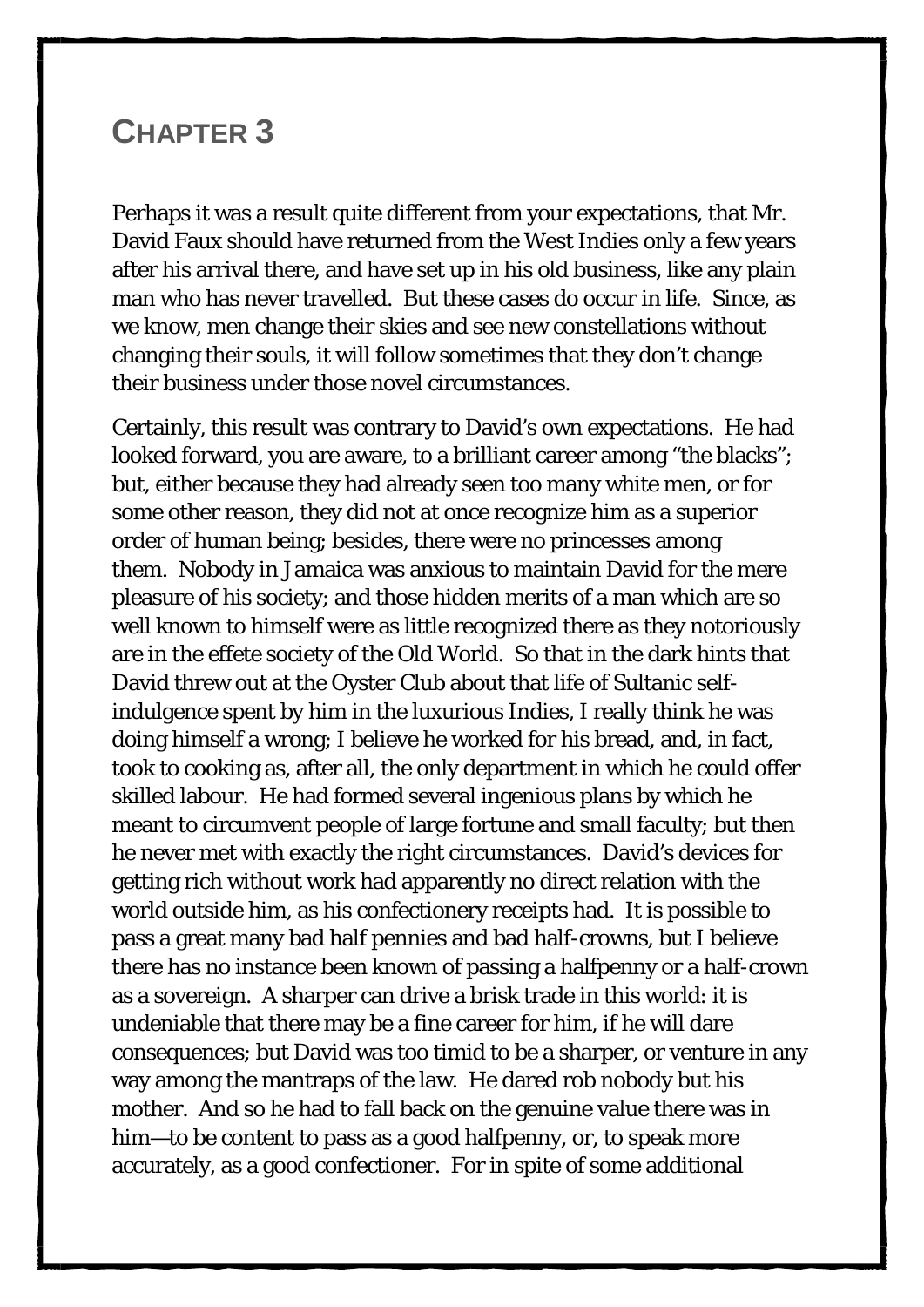#### <span id="page-32-0"></span>**CHAPTER 3**

Perhaps it was a result quite different from your expectations, that Mr. David Faux should have returned from the West Indies only a few years after his arrival there, and have set up in his old business, like any plain man who has never travelled. But these cases do occur in life. Since, as we know, men change their skies and see new constellations without changing their souls, it will follow sometimes that they don't change their business under those novel circumstances.

Certainly, this result was contrary to David's own expectations. He had looked forward, you are aware, to a brilliant career among "the blacks"; but, either because they had already seen too many white men, or for some other reason, they did not at once recognize him as a superior order of human being; besides, there were no princesses among them. Nobody in Jamaica was anxious to maintain David for the mere pleasure of his society; and those hidden merits of a man which are so well known to himself were as little recognized there as they notoriously are in the effete society of the Old World. So that in the dark hints that David threw out at the Oyster Club about that life of Sultanic selfindulgence spent by him in the luxurious Indies, I really think he was doing himself a wrong; I believe he worked for his bread, and, in fact, took to cooking as, after all, the only department in which he could offer skilled labour. He had formed several ingenious plans by which he meant to circumvent people of large fortune and small faculty; but then he never met with exactly the right circumstances. David's devices for getting rich without work had apparently no direct relation with the world outside him, as his confectionery receipts had. It is possible to pass a great many bad half pennies and bad half-crowns, but I believe there has no instance been known of passing a halfpenny or a half-crown as a sovereign. A sharper can drive a brisk trade in this world: it is undeniable that there may be a fine career for him, if he will dare consequences; but David was too timid to be a sharper, or venture in any way among the mantraps of the law. He dared rob nobody but his mother. And so he had to fall back on the genuine value there was in him—to be content to pass as a good halfpenny, or, to speak more accurately, as a good confectioner. For in spite of some additional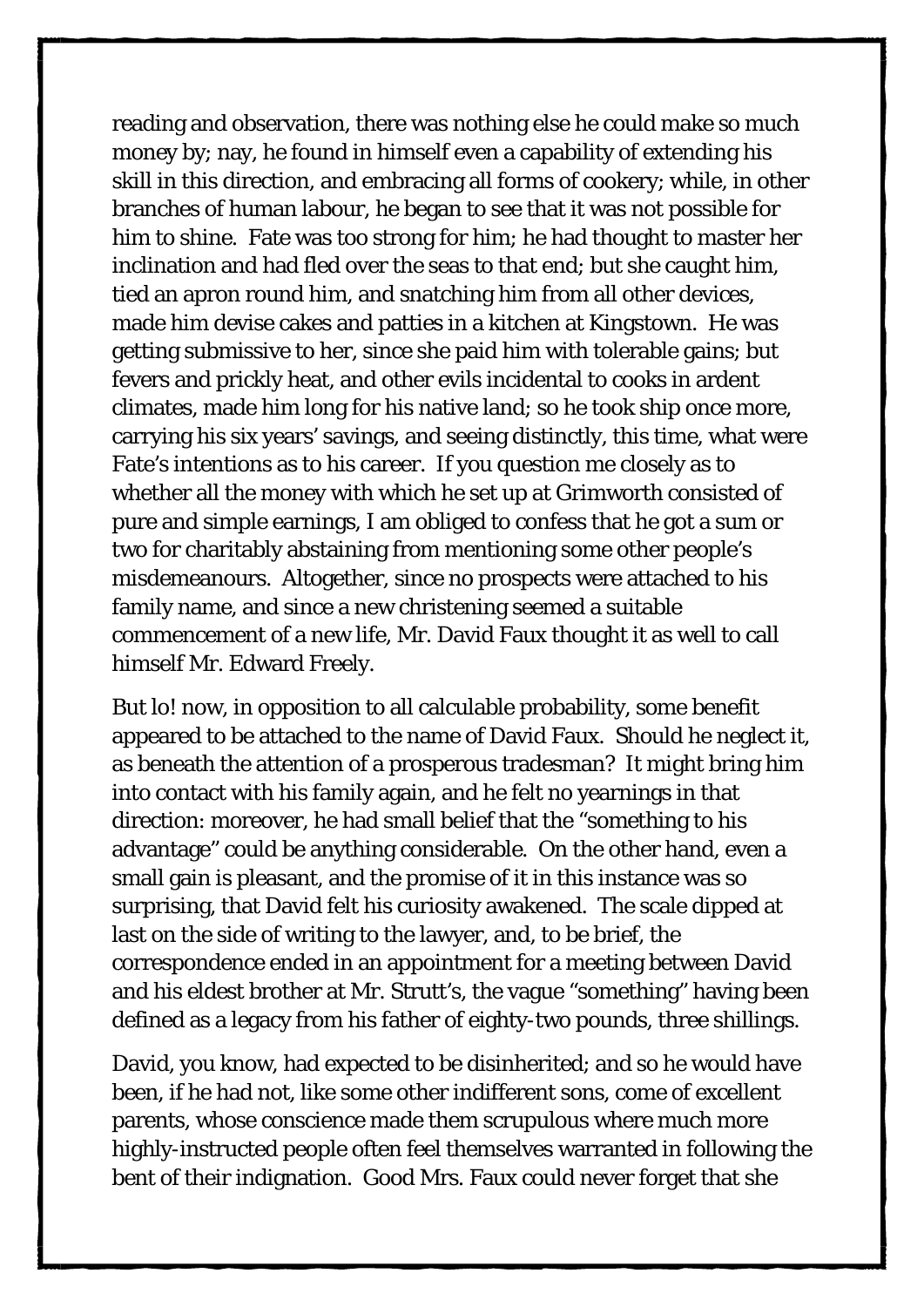reading and observation, there was nothing else he could make so much money by; nay, he found in himself even a capability of extending his skill in this direction, and embracing all forms of cookery; while, in other branches of human labour, he began to see that it was not possible for him to shine. Fate was too strong for him; he had thought to master her inclination and had fled over the seas to that end; but she caught him, tied an apron round him, and snatching him from all other devices, made him devise cakes and patties in a kitchen at Kingstown. He was getting submissive to her, since she paid him with tolerable gains; but fevers and prickly heat, and other evils incidental to cooks in ardent climates, made him long for his native land; so he took ship once more, carrying his six years' savings, and seeing distinctly, this time, what were Fate's intentions as to his career. If you question me closely as to whether all the money with which he set up at Grimworth consisted of pure and simple earnings, I am obliged to confess that he got a sum or two for charitably abstaining from mentioning some other people's misdemeanours. Altogether, since no prospects were attached to his family name, and since a new christening seemed a suitable commencement of a new life, Mr. David Faux thought it as well to call himself Mr. Edward Freely.

But lo! now, in opposition to all calculable probability, some benefit appeared to be attached to the name of David Faux. Should he neglect it, as beneath the attention of a prosperous tradesman? It might bring him into contact with his family again, and he felt no yearnings in that direction: moreover, he had small belief that the "something to his advantage" could be anything considerable. On the other hand, even a small gain is pleasant, and the promise of it in this instance was so surprising, that David felt his curiosity awakened. The scale dipped at last on the side of writing to the lawyer, and, to be brief, the correspondence ended in an appointment for a meeting between David and his eldest brother at Mr. Strutt's, the vague "something" having been defined as a legacy from his father of eighty-two pounds, three shillings.

David, you know, had expected to be disinherited; and so he would have been, if he had not, like some other indifferent sons, come of excellent parents, whose conscience made them scrupulous where much more highly-instructed people often feel themselves warranted in following the bent of their indignation. Good Mrs. Faux could never forget that she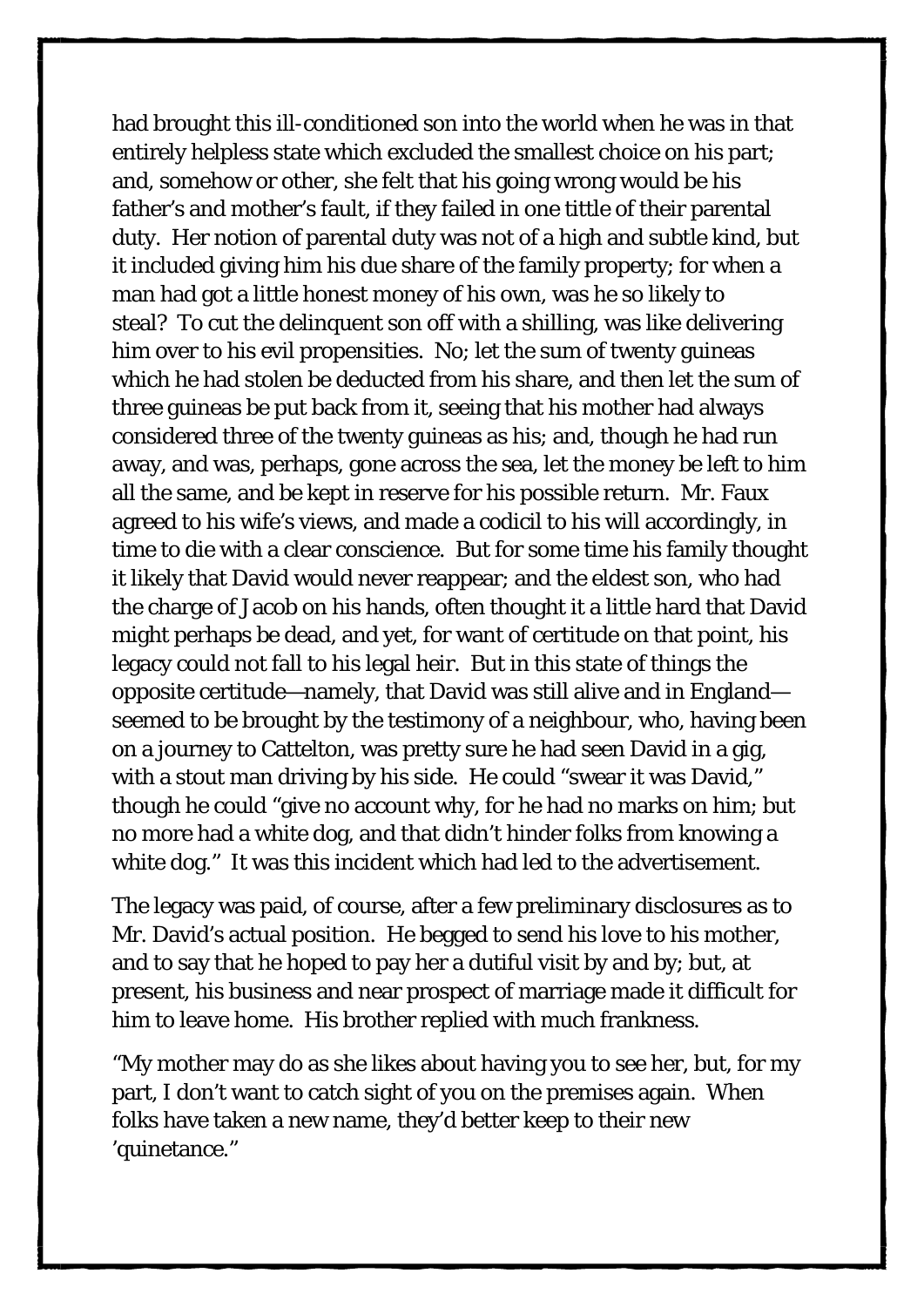had brought this ill-conditioned son into the world when he was in that entirely helpless state which excluded the smallest choice on his part; and, somehow or other, she felt that his going wrong would be his father's and mother's fault, if they failed in one tittle of their parental duty. Her notion of parental duty was not of a high and subtle kind, but it included giving him his due share of the family property; for when a man had got a little honest money of his own, was he so likely to steal? To cut the delinquent son off with a shilling, was like delivering him over to his evil propensities. No; let the sum of twenty guineas which he had stolen be deducted from his share, and then let the sum of three guineas be put back from it, seeing that his mother had always considered three of the twenty guineas as his; and, though he had run away, and was, perhaps, gone across the sea, let the money be left to him all the same, and be kept in reserve for his possible return. Mr. Faux agreed to his wife's views, and made a codicil to his will accordingly, in time to die with a clear conscience. But for some time his family thought it likely that David would never reappear; and the eldest son, who had the charge of Jacob on his hands, often thought it a little hard that David might perhaps be dead, and yet, for want of certitude on that point, his legacy could not fall to his legal heir. But in this state of things the opposite certitude—namely, that David was still alive and in England seemed to be brought by the testimony of a neighbour, who, having been on a journey to Cattelton, was pretty sure he had seen David in a gig, with a stout man driving by his side. He could "swear it was David," though he could "give no account why, for he had no marks on him; but no more had a white dog, and that didn't hinder folks from knowing a white dog." It was this incident which had led to the advertisement.

The legacy was paid, of course, after a few preliminary disclosures as to Mr. David's actual position. He begged to send his love to his mother, and to say that he hoped to pay her a dutiful visit by and by; but, at present, his business and near prospect of marriage made it difficult for him to leave home. His brother replied with much frankness.

"My mother may do as she likes about having you to see her, but, for my part, I don't want to catch sight of you on the premises again. When folks have taken a new name, they'd better keep to their new 'quinetance."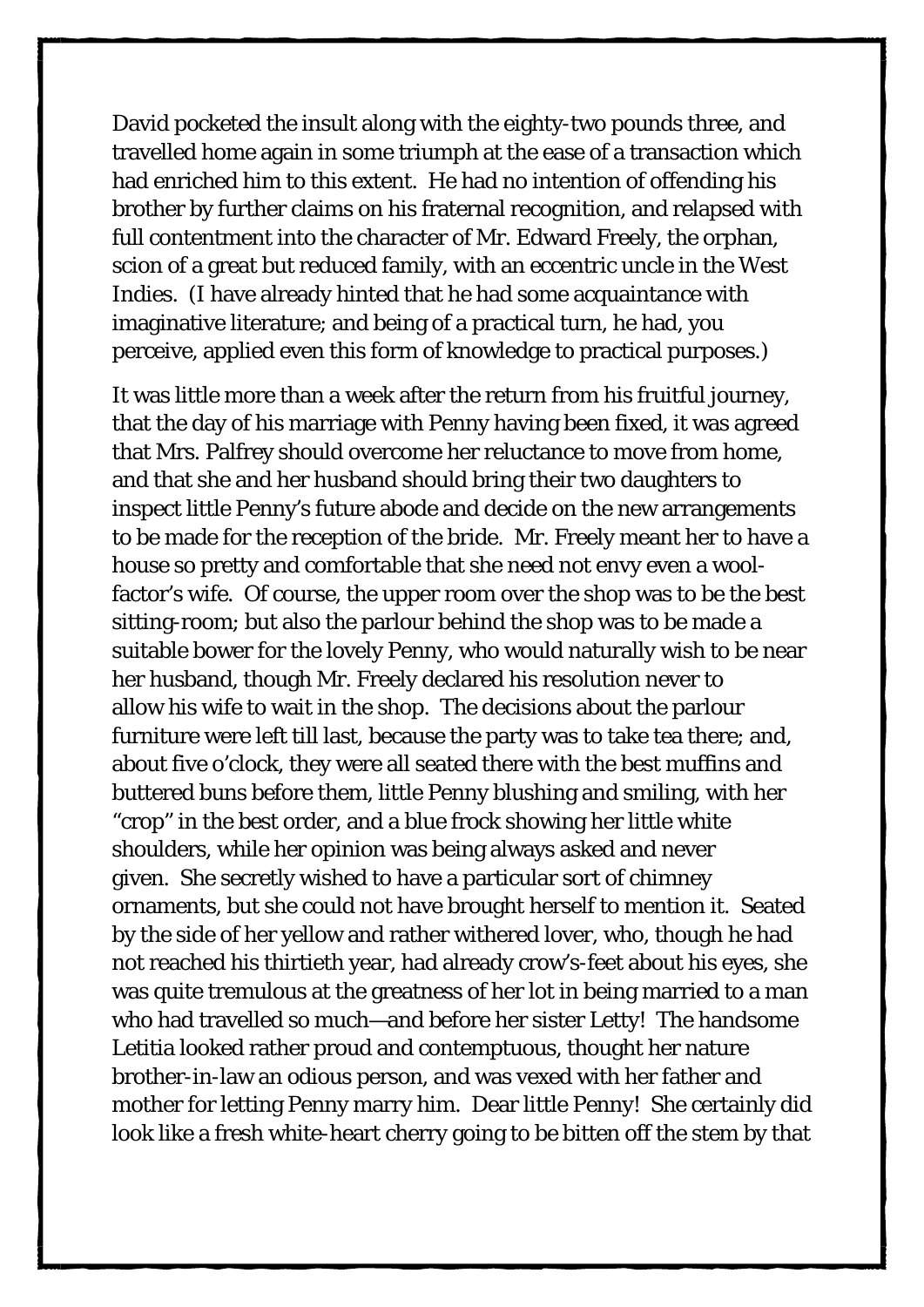David pocketed the insult along with the eighty-two pounds three, and travelled home again in some triumph at the ease of a transaction which had enriched him to this extent. He had no intention of offending his brother by further claims on his fraternal recognition, and relapsed with full contentment into the character of Mr. Edward Freely, the orphan, scion of a great but reduced family, with an eccentric uncle in the West Indies. (I have already hinted that he had some acquaintance with imaginative literature; and being of a practical turn, he had, you perceive, applied even this form of knowledge to practical purposes.)

It was little more than a week after the return from his fruitful journey, that the day of his marriage with Penny having been fixed, it was agreed that Mrs. Palfrey should overcome her reluctance to move from home, and that she and her husband should bring their two daughters to inspect little Penny's future abode and decide on the new arrangements to be made for the reception of the bride. Mr. Freely meant her to have a house so pretty and comfortable that she need not envy even a woolfactor's wife. Of course, the upper room over the shop was to be the best sitting-room; but also the parlour behind the shop was to be made a suitable bower for the lovely Penny, who would naturally wish to be near her husband, though Mr. Freely declared his resolution never to allow *his* wife to wait in the shop. The decisions about the parlour furniture were left till last, because the party was to take tea there; and, about five o'clock, they were all seated there with the best muffins and buttered buns before them, little Penny blushing and smiling, with her "crop" in the best order, and a blue frock showing her little white shoulders, while her opinion was being always asked and never given. She secretly wished to have a particular sort of chimney ornaments, but she could not have brought herself to mention it. Seated by the side of her yellow and rather withered lover, who, though he had not reached his thirtieth year, had already crow's-feet about his eyes, she was quite tremulous at the greatness of her lot in being married to a man who had travelled so much—and before her sister Letty! The handsome Letitia looked rather proud and contemptuous, thought her nature brother-in-law an odious person, and was vexed with her father and mother for letting Penny marry him. Dear little Penny! She certainly did look like a fresh white-heart cherry going to be bitten off the stem by that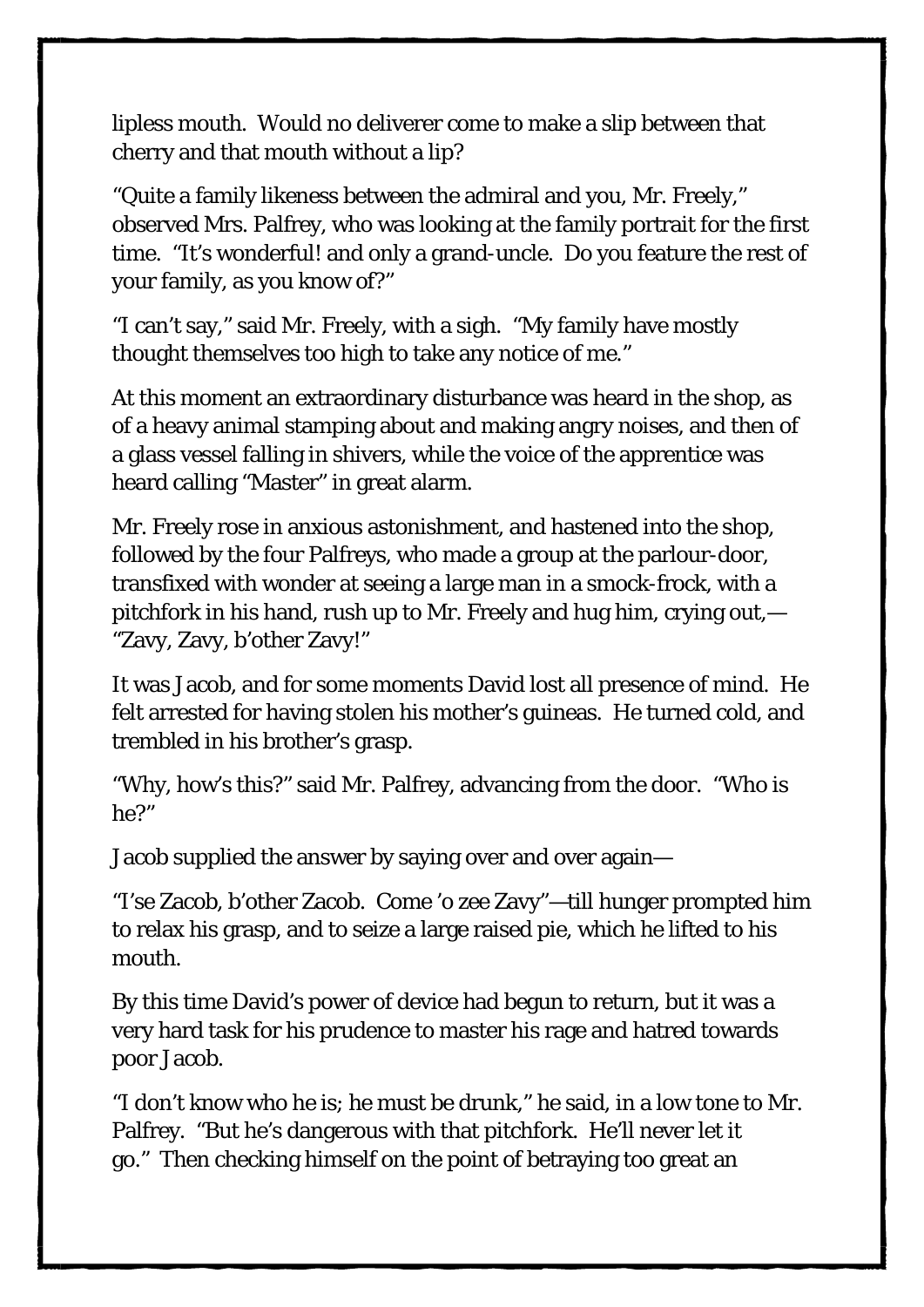lipless mouth. Would no deliverer come to make a slip between that cherry and that mouth without a lip?

"Quite a family likeness between the admiral and you, Mr. Freely," observed Mrs. Palfrey, who was looking at the family portrait for the first time. "It's wonderful! and only a grand-uncle. Do you feature the rest of your family, as you know of?"

"I can't say," said Mr. Freely, with a sigh. "My family have mostly thought themselves too high to take any notice of me."

At this moment an extraordinary disturbance was heard in the shop, as of a heavy animal stamping about and making angry noises, and then of a glass vessel falling in shivers, while the voice of the apprentice was heard calling "Master" in great alarm.

Mr. Freely rose in anxious astonishment, and hastened into the shop, followed by the four Palfreys, who made a group at the parlour-door, transfixed with wonder at seeing a large man in a smock-frock, with a pitchfork in his hand, rush up to Mr. Freely and hug him, crying out,— "Zavy, Zavy, b'other Zavy!"

It was Jacob, and for some moments David lost all presence of mind. He felt arrested for having stolen his mother's guineas. He turned cold, and trembled in his brother's grasp.

"Why, how's this?" said Mr. Palfrey, advancing from the door. "Who is he?"

Jacob supplied the answer by saying over and over again—

"I'se Zacob, b'other Zacob. Come 'o zee Zavy"—till hunger prompted him to relax his grasp, and to seize a large raised pie, which he lifted to his mouth.

By this time David's power of device had begun to return, but it was a very hard task for his prudence to master his rage and hatred towards poor Jacob.

"I don't know who he is; he must be drunk," he said, in a low tone to Mr. Palfrey. "But he's dangerous with that pitchfork. He'll never let it go." Then checking himself on the point of betraying too great an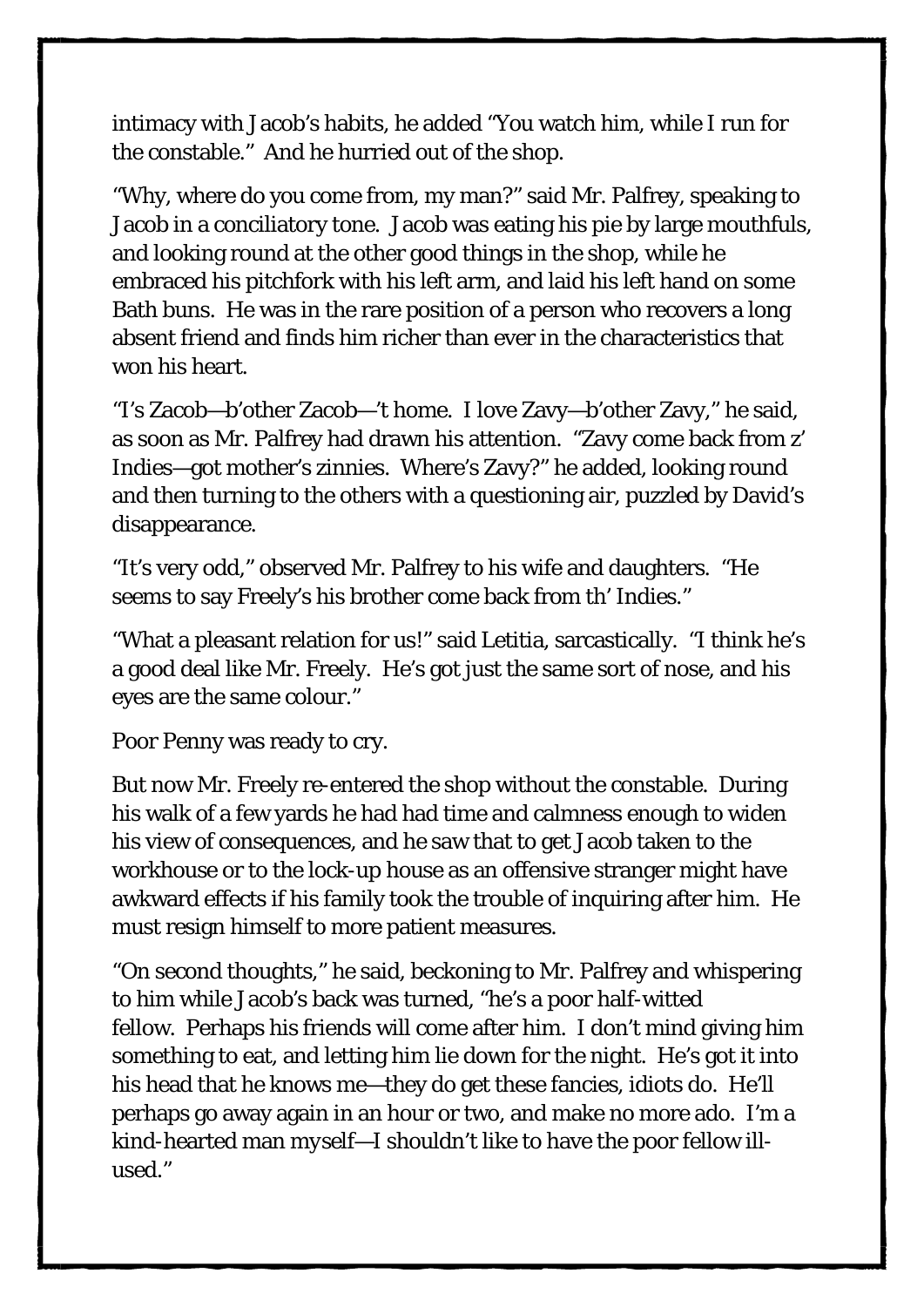intimacy with Jacob's habits, he added "You watch him, while I run for the constable." And he hurried out of the shop.

"Why, where do you come from, my man?" said Mr. Palfrey, speaking to Jacob in a conciliatory tone. Jacob was eating his pie by large mouthfuls, and looking round at the other good things in the shop, while he embraced his pitchfork with his left arm, and laid his left hand on some Bath buns. He was in the rare position of a person who recovers a long absent friend and finds him richer than ever in the characteristics that won his heart.

"I's Zacob—b'other Zacob—'t home. I love Zavy—b'other Zavy," he said, as soon as Mr. Palfrey had drawn his attention. "Zavy come back from z' Indies—got mother's zinnies. Where's Zavy?" he added, looking round and then turning to the others with a questioning air, puzzled by David's disappearance.

"It's very odd," observed Mr. Palfrey to his wife and daughters. "He seems to say Freely's his brother come back from th' Indies."

"What a pleasant relation for us!" said Letitia, sarcastically. "I think he's a good deal like Mr. Freely. He's got just the same sort of nose, and his eyes are the same colour."

Poor Penny was ready to cry.

But now Mr. Freely re-entered the shop without the constable. During his walk of a few yards he had had time and calmness enough to widen his view of consequences, and he saw that to get Jacob taken to the workhouse or to the lock-up house as an offensive stranger might have awkward effects if his family took the trouble of inquiring after him. He must resign himself to more patient measures.

"On second thoughts," he said, beckoning to Mr. Palfrey and whispering to him while Jacob's back was turned, "he's a poor half-witted fellow. Perhaps his friends will come after him. I don't mind giving him something to eat, and letting him lie down for the night. He's got it into his head that he knows me—they do get these fancies, idiots do. He'll perhaps go away again in an hour or two, and make no more ado. I'm a kind-hearted man *myself*—I shouldn't like to have the poor fellow illused."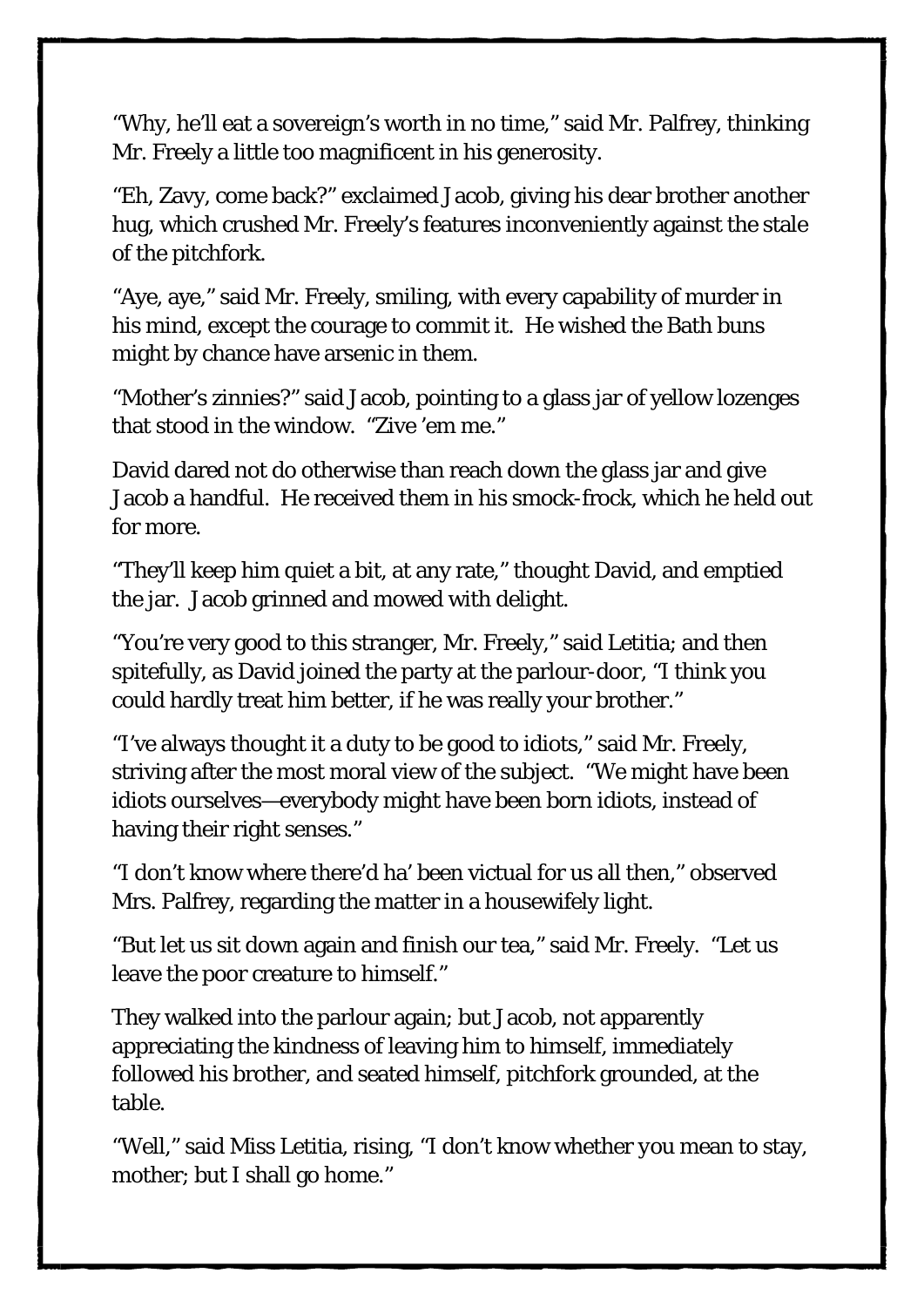"Why, he'll eat a sovereign's worth in no time," said Mr. Palfrey, thinking Mr. Freely a little too magnificent in his generosity.

"Eh, Zavy, come back?" exclaimed Jacob, giving his dear brother another hug, which crushed Mr. Freely's features inconveniently against the stale of the pitchfork.

"Aye, aye," said Mr. Freely, smiling, with every capability of murder in his mind, except the courage to commit it. He wished the Bath buns might by chance have arsenic in them.

"Mother's zinnies?" said Jacob, pointing to a glass jar of yellow lozenges that stood in the window. "Zive 'em me."

David dared not do otherwise than reach down the glass jar and give Jacob a handful. He received them in his smock-frock, which he held out for more.

"They'll keep him quiet a bit, at any rate," thought David, and emptied the jar. Jacob grinned and mowed with delight.

"You're very good to this stranger, Mr. Freely," said Letitia; and then spitefully, as David joined the party at the parlour-door, "I think you could hardly treat him better, if he was really your brother."

"I've always thought it a duty to be good to idiots," said Mr. Freely, striving after the most moral view of the subject. "We might have been idiots ourselves—everybody might have been born idiots, instead of having their right senses."

"I don't know where there'd ha' been victual for us all then," observed Mrs. Palfrey, regarding the matter in a housewifely light.

"But let us sit down again and finish our tea," said Mr. Freely. "Let us leave the poor creature to himself."

They walked into the parlour again; but Jacob, not apparently appreciating the kindness of leaving him to himself, immediately followed his brother, and seated himself, pitchfork grounded, at the table.

"Well," said Miss Letitia, rising, "I don't know whether *you* mean to stay, mother; but I shall go home."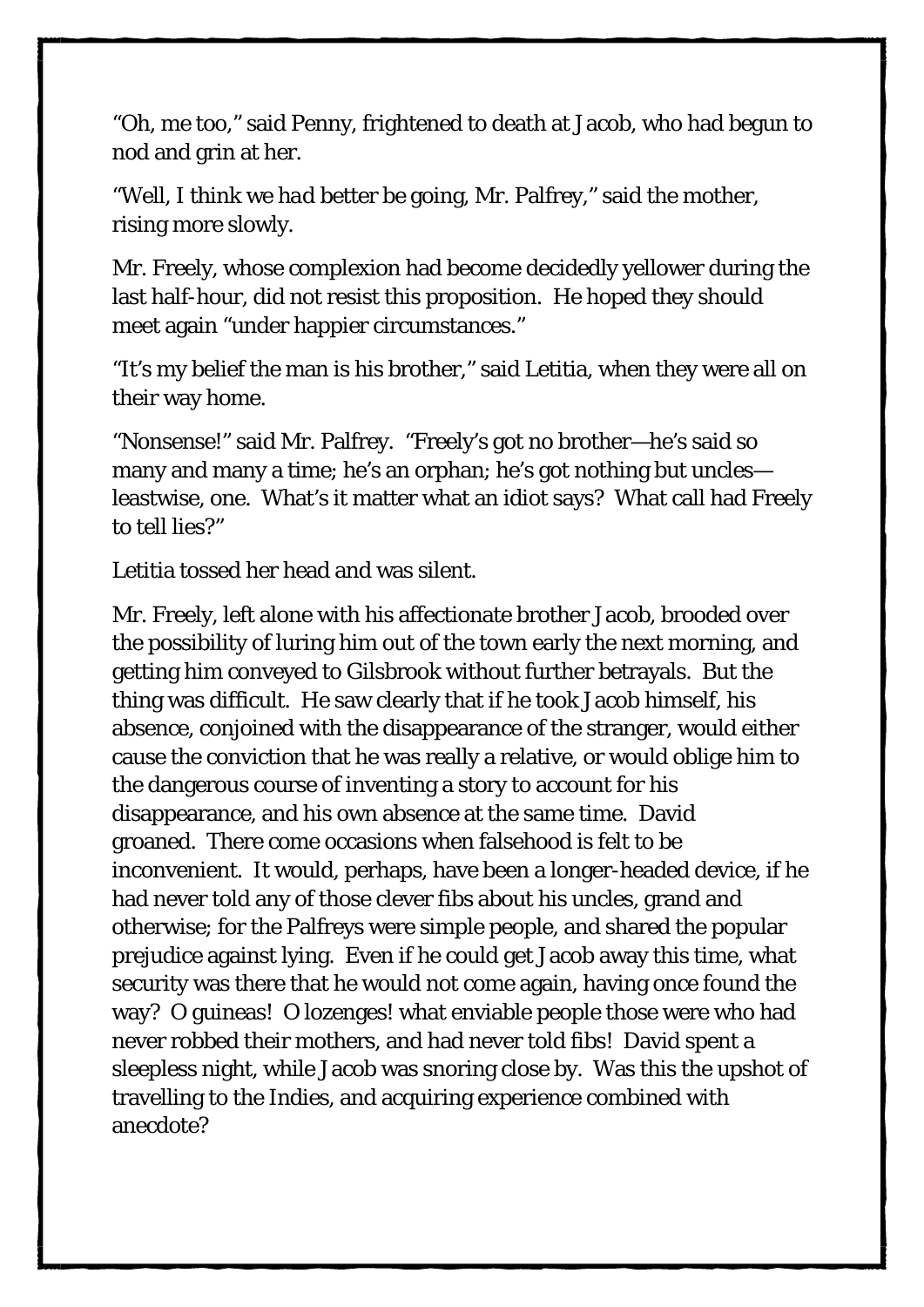"Oh, me too," said Penny, frightened to death at Jacob, who had begun to nod and grin at her.

"Well, I think we *had* better be going, Mr. Palfrey," said the mother, rising more slowly.

Mr. Freely, whose complexion had become decidedly yellower during the last half-hour, did not resist this proposition. He hoped they should meet again "under happier circumstances."

"It's my belief the man is his brother," said Letitia, when they were all on their way home.

"Nonsense!" said Mr. Palfrey. "Freely's got no brother—he's said so many and many a time; he's an orphan; he's got nothing but uncles leastwise, one. What's it matter what an idiot says? What call had Freely to tell lies?"

Letitia tossed her head and was silent.

Mr. Freely, left alone with his affectionate brother Jacob, brooded over the possibility of luring him out of the town early the next morning, and getting him conveyed to Gilsbrook without further betrayals. But the thing was difficult. He saw clearly that if he took Jacob himself, his absence, conjoined with the disappearance of the stranger, would either cause the conviction that he was really a relative, or would oblige him to the dangerous course of inventing a story to account for his disappearance, and his own absence at the same time. David groaned. There come occasions when falsehood is felt to be inconvenient. It would, perhaps, have been a longer-headed device, if he had never told any of those clever fibs about his uncles, grand and otherwise; for the Palfreys were simple people, and shared the popular prejudice against lying. Even if he could get Jacob away this time, what security was there that he would not come again, having once found the way? O guineas! O lozenges! what enviable people those were who had never robbed their mothers, and had never told fibs! David spent a sleepless night, while Jacob was snoring close by. Was this the upshot of travelling to the Indies, and acquiring experience combined with anecdote?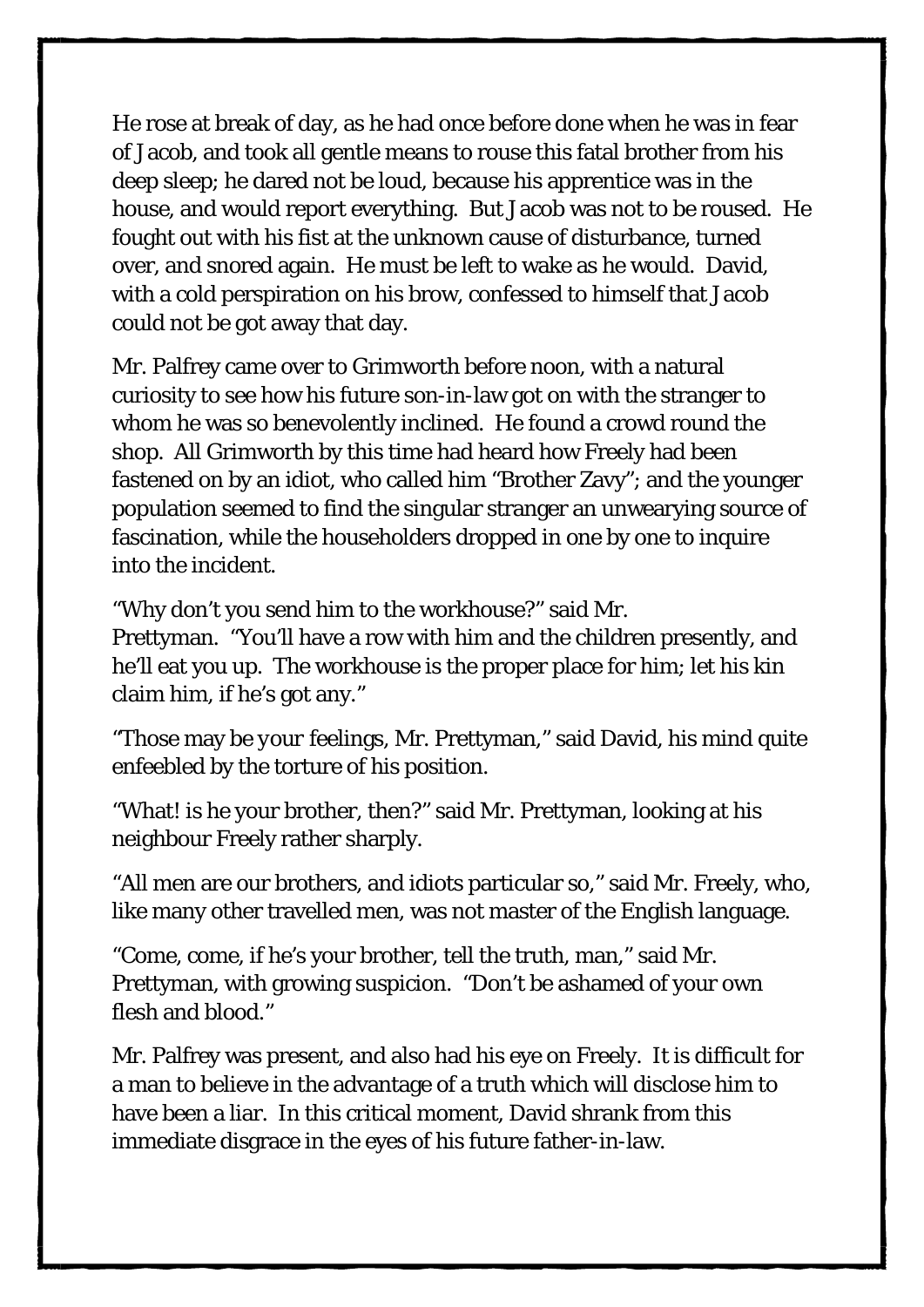He rose at break of day, as he had once before done when he was in fear of Jacob, and took all gentle means to rouse this fatal brother from his deep sleep; he dared not be loud, because his apprentice was in the house, and would report everything. But Jacob was not to be roused. He fought out with his fist at the unknown cause of disturbance, turned over, and snored again. He must be left to wake as he would. David, with a cold perspiration on his brow, confessed to himself that Jacob could not be got away that day.

Mr. Palfrey came over to Grimworth before noon, with a natural curiosity to see how his future son-in-law got on with the stranger to whom he was so benevolently inclined. He found a crowd round the shop. All Grimworth by this time had heard how Freely had been fastened on by an idiot, who called him "Brother Zavy"; and the younger population seemed to find the singular stranger an unwearying source of fascination, while the householders dropped in one by one to inquire into the incident.

"Why don't you send him to the workhouse?" said Mr.

Prettyman. "You'll have a row with him and the children presently, and he'll eat you up. The workhouse is the proper place for him; let his kin claim him, if he's got any."

"Those may be *your* feelings, Mr. Prettyman," said David, his mind quite enfeebled by the torture of his position.

"What! *is* he your brother, then?" said Mr. Prettyman, looking at his neighbour Freely rather sharply.

"All men are our brothers, and idiots particular so," said Mr. Freely, who, like many other travelled men, was not master of the English language.

"Come, come, if he's your brother, tell the truth, man," said Mr. Prettyman, with growing suspicion. "Don't be ashamed of your own flesh and blood."

Mr. Palfrey was present, and also had his eye on Freely. It is difficult for a man to believe in the advantage of a truth which will disclose him to have been a liar. In this critical moment, David shrank from this immediate disgrace in the eyes of his future father-in-law.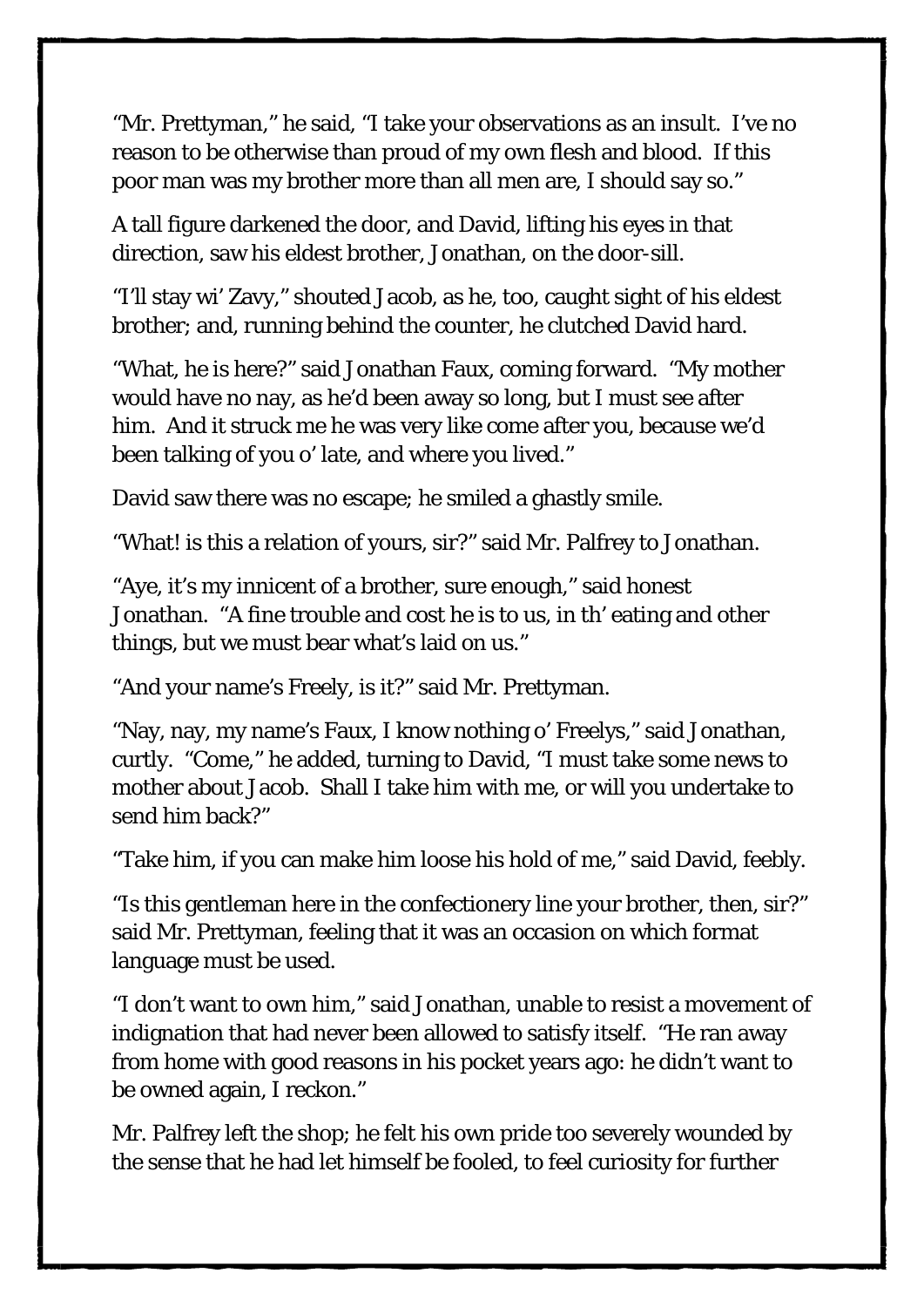"Mr. Prettyman," he said, "I take your observations as an insult. I've no reason to be otherwise than proud of my own flesh and blood. If this poor man was my brother more than all men are, I should say so."

A tall figure darkened the door, and David, lifting his eyes in that direction, saw his eldest brother, Jonathan, on the door-sill.

"I'll stay wi' Zavy," shouted Jacob, as he, too, caught sight of his eldest brother; and, running behind the counter, he clutched David hard.

"What, he *is* here?" said Jonathan Faux, coming forward. "My mother would have no nay, as he'd been away so long, but I must see after him. And it struck me he was very like come after you, because we'd been talking of you o' late, and where you lived."

David saw there was no escape; he smiled a ghastly smile.

"What! is this a relation of yours, sir?" said Mr. Palfrey to Jonathan.

"Aye, it's my innicent of a brother, sure enough," said honest Jonathan. "A fine trouble and cost he is to us, in th' eating and other things, but we must bear what's laid on us."

"And your name's Freely, is it?" said Mr. Prettyman.

"Nay, nay, my name's Faux, I know nothing o' Freelys," said Jonathan, curtly. "Come," he added, turning to David, "I must take some news to mother about Jacob. Shall I take him with me, or will you undertake to send him back?"

"Take him, if you can make him loose his hold of me," said David, feebly.

"Is this gentleman here in the confectionery line your brother, then, sir?" said Mr. Prettyman, feeling that it was an occasion on which format language must be used.

"*I* don't want to own him," said Jonathan, unable to resist a movement of indignation that had never been allowed to satisfy itself. "He ran away from home with good reasons in his pocket years ago: he didn't want to be owned again, I reckon."

Mr. Palfrey left the shop; he felt his own pride too severely wounded by the sense that he had let himself be fooled, to feel curiosity for further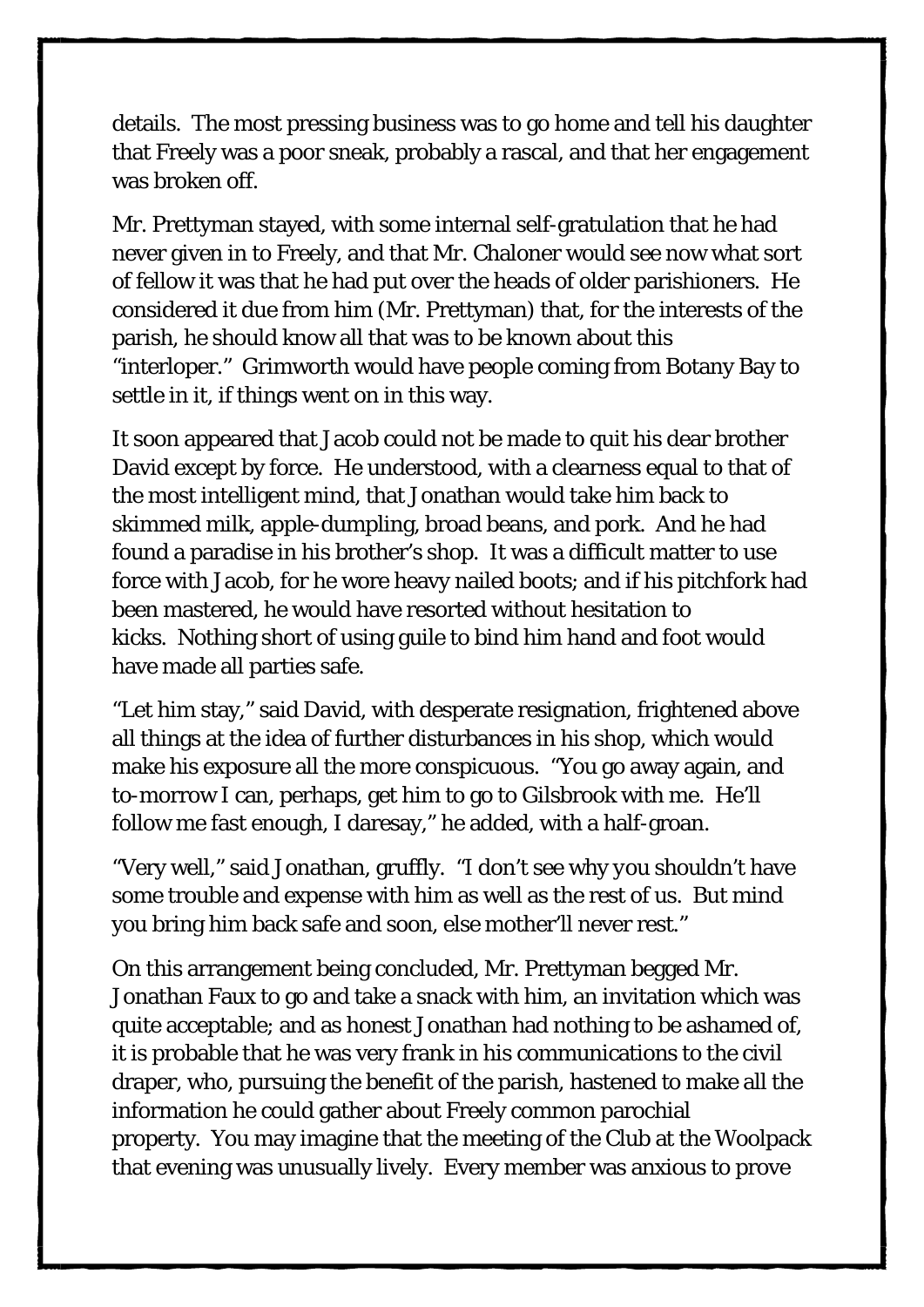details. The most pressing business was to go home and tell his daughter that Freely was a poor sneak, probably a rascal, and that her engagement was broken off.

Mr. Prettyman stayed, with some internal self-gratulation that *he* had never given in to Freely, and that Mr. Chaloner would see now what sort of fellow it was that he had put over the heads of older parishioners. He considered it due from him (Mr. Prettyman) that, for the interests of the parish, he should know all that was to be known about this "interloper." Grimworth would have people coming from Botany Bay to settle in it, if things went on in this way.

It soon appeared that Jacob could not be made to quit his dear brother David except by force. He understood, with a clearness equal to that of the most intelligent mind, that Jonathan would take him back to skimmed milk, apple-dumpling, broad beans, and pork. And he had found a paradise in his brother's shop. It was a difficult matter to use force with Jacob, for he wore heavy nailed boots; and if his pitchfork had been mastered, he would have resorted without hesitation to kicks. Nothing short of using guile to bind him hand and foot would have made all parties safe.

"Let him stay," said David, with desperate resignation, frightened above all things at the idea of further disturbances in his shop, which would make his exposure all the more conspicuous. "*You* go away again, and to-morrow I can, perhaps, get him to go to Gilsbrook with me. He'll follow me fast enough, I daresay," he added, with a half-groan.

"Very well," said Jonathan, gruffly. "I don't see why *you* shouldn't have some trouble and expense with him as well as the rest of us. But mind you bring him back safe and soon, else mother'll never rest."

On this arrangement being concluded, Mr. Prettyman begged Mr. Jonathan Faux to go and take a snack with him, an invitation which was quite acceptable; and as honest Jonathan had nothing to be ashamed of, it is probable that he was very frank in his communications to the civil draper, who, pursuing the benefit of the parish, hastened to make all the information he could gather about Freely common parochial property. You may imagine that the meeting of the Club at the Woolpack that evening was unusually lively. Every member was anxious to prove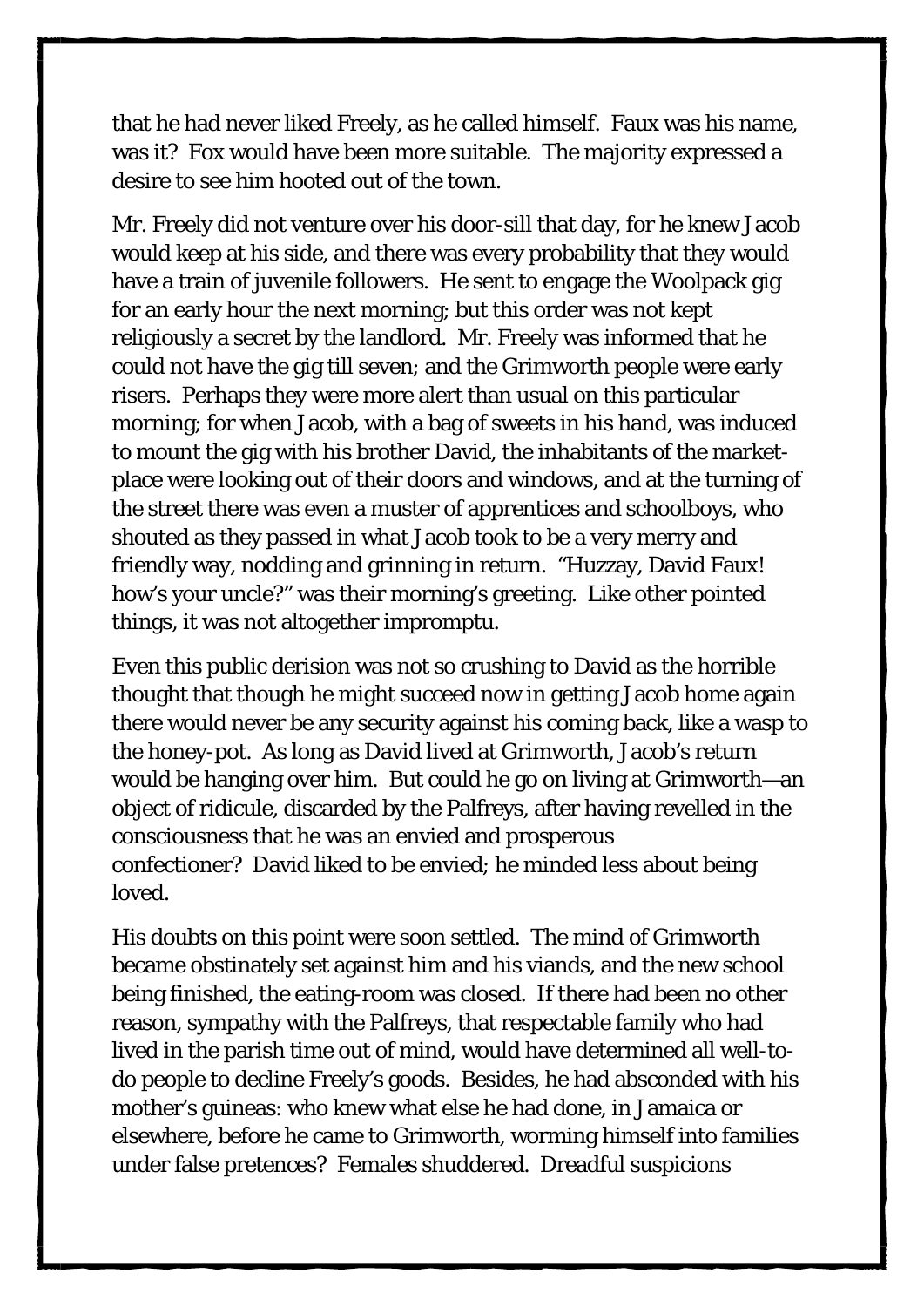that he had never liked Freely, as he called himself. Faux was his name, was it? Fox would have been more suitable. The majority expressed a desire to see him hooted out of the town.

Mr. Freely did not venture over his door-sill that day, for he knew Jacob would keep at his side, and there was every probability that they would have a train of juvenile followers. He sent to engage the Woolpack gig for an early hour the next morning; but this order was not kept religiously a secret by the landlord. Mr. Freely was informed that he could not have the gig till seven; and the Grimworth people were early risers. Perhaps they were more alert than usual on this particular morning; for when Jacob, with a bag of sweets in his hand, was induced to mount the gig with his brother David, the inhabitants of the marketplace were looking out of their doors and windows, and at the turning of the street there was even a muster of apprentices and schoolboys, who shouted as they passed in what Jacob took to be a very merry and friendly way, nodding and grinning in return. "Huzzay, David Faux! how's your uncle?" was their morning's greeting. Like other pointed things, it was not altogether impromptu.

Even this public derision was not so crushing to David as the horrible thought that though he might succeed now in getting Jacob home again there would never be any security against his coming back, like a wasp to the honey-pot. As long as David lived at Grimworth, Jacob's return would be hanging over him. But could he go on living at Grimworth—an object of ridicule, discarded by the Palfreys, after having revelled in the consciousness that he was an envied and prosperous confectioner? David liked to be envied; he minded less about being loved.

His doubts on this point were soon settled. The mind of Grimworth became obstinately set against him and his viands, and the new school being finished, the eating-room was closed. If there had been no other reason, sympathy with the Palfreys, that respectable family who had lived in the parish time out of mind, would have determined all well-todo people to decline Freely's goods. Besides, he had absconded with his mother's guineas: who knew what else he had done, in Jamaica or elsewhere, before he came to Grimworth, worming himself into families under false pretences? Females shuddered. Dreadful suspicions